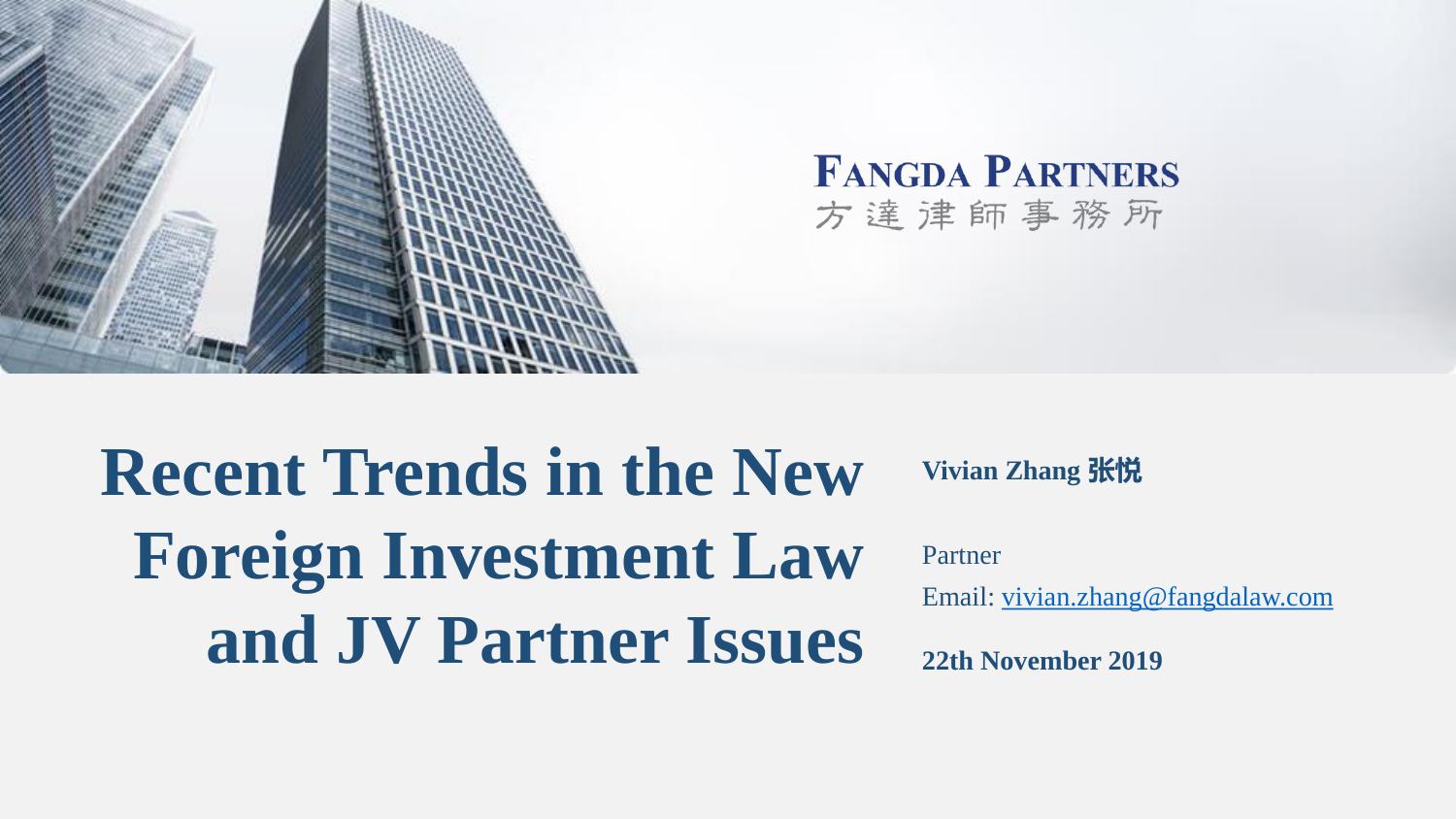



# **Recent Trends in the New Foreign Investment Law and JV Partner Issues 22th November 2019**

**Vivian Zhang** 张悦

Partner

Email: [vivian.zhang@fangdalaw.com](mailto:vivian.zhang@fangdalaw.com)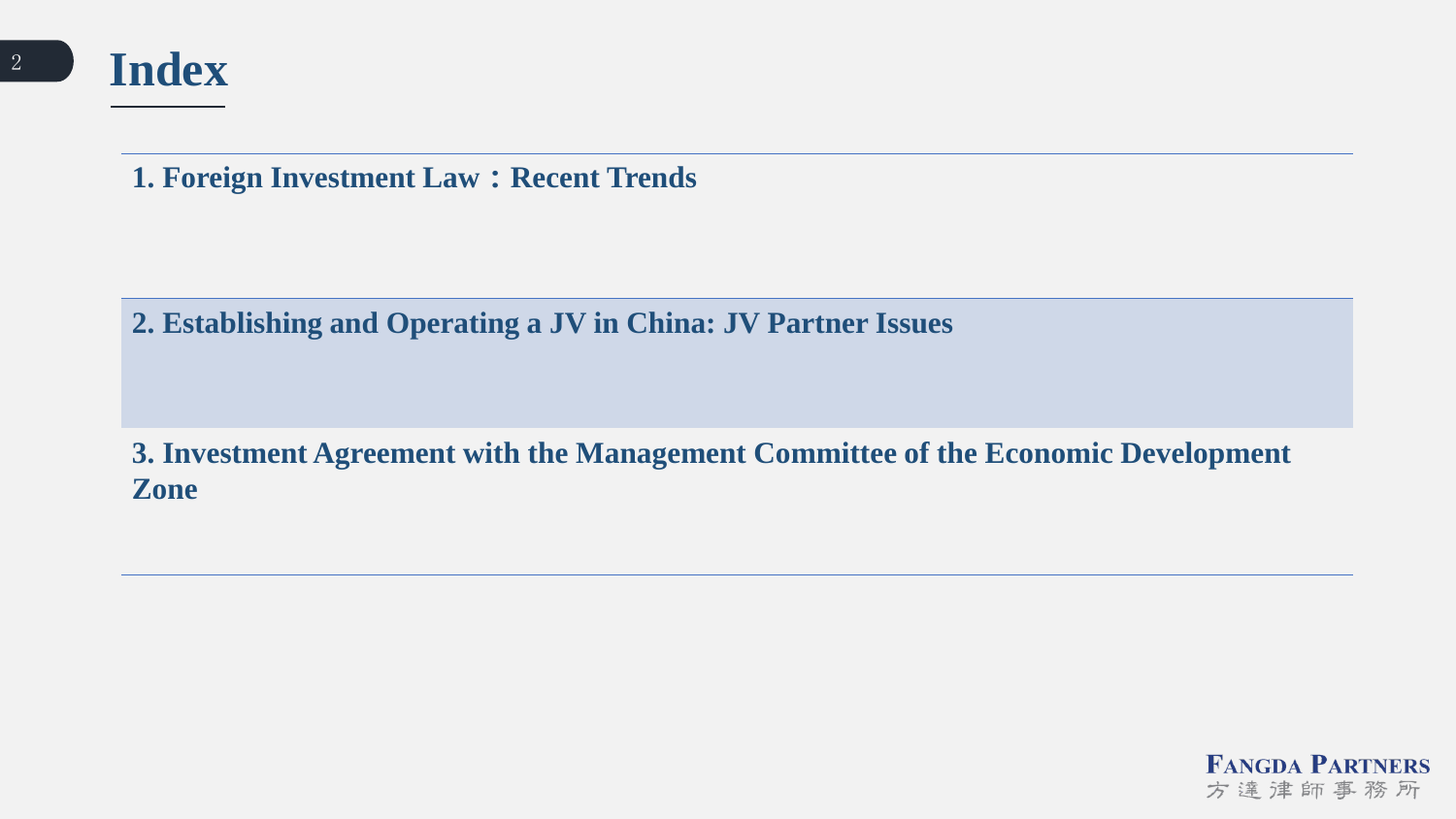**Index**

**1. Foreign Investment Law**:**Recent Trends**

**2. Establishing and Operating a JV in China: JV Partner Issues** 

**3. Investment Agreement with the Management Committee of the Economic Development Zone**

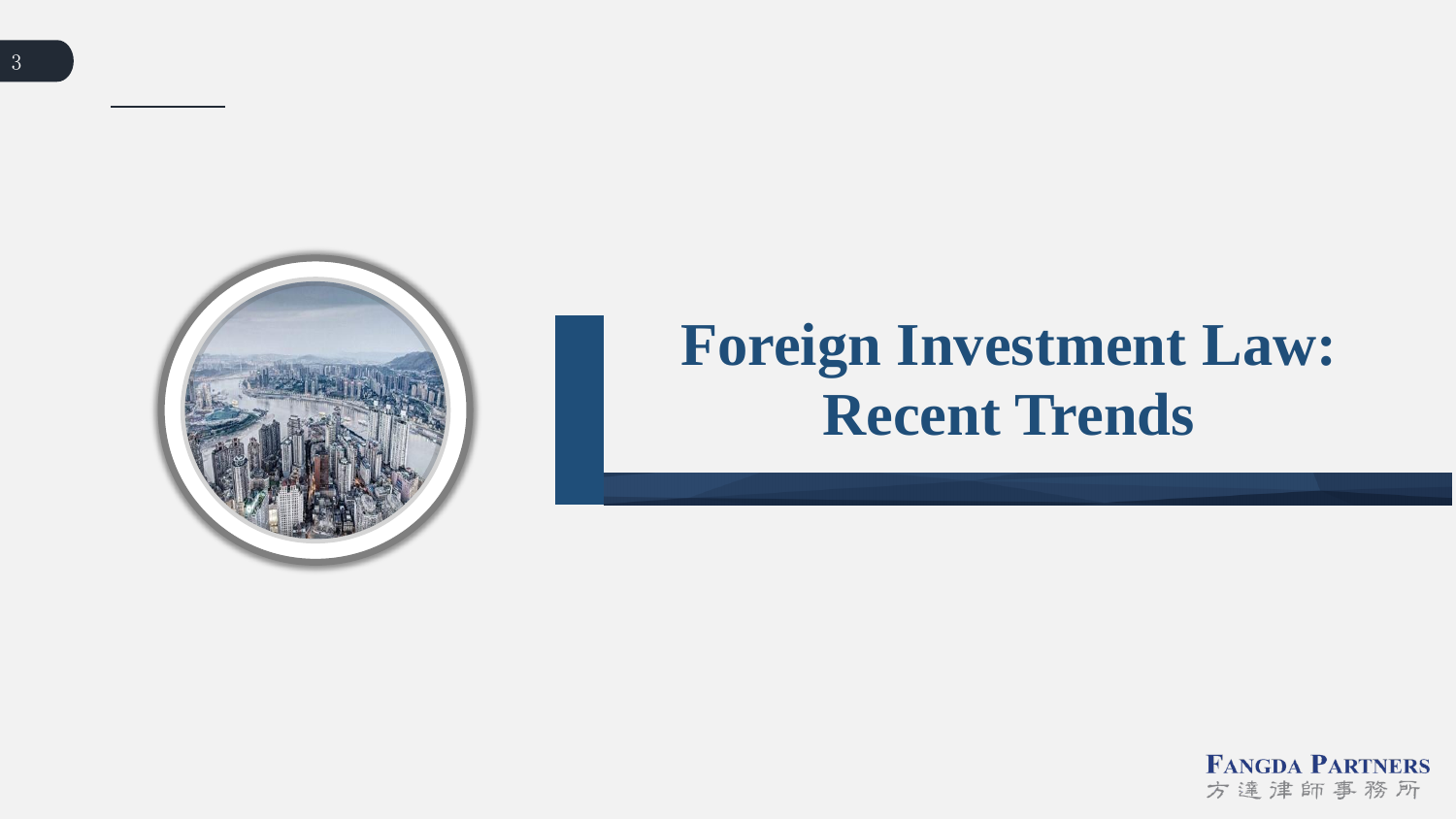

# **Foreign Investment Law: Recent Trends**

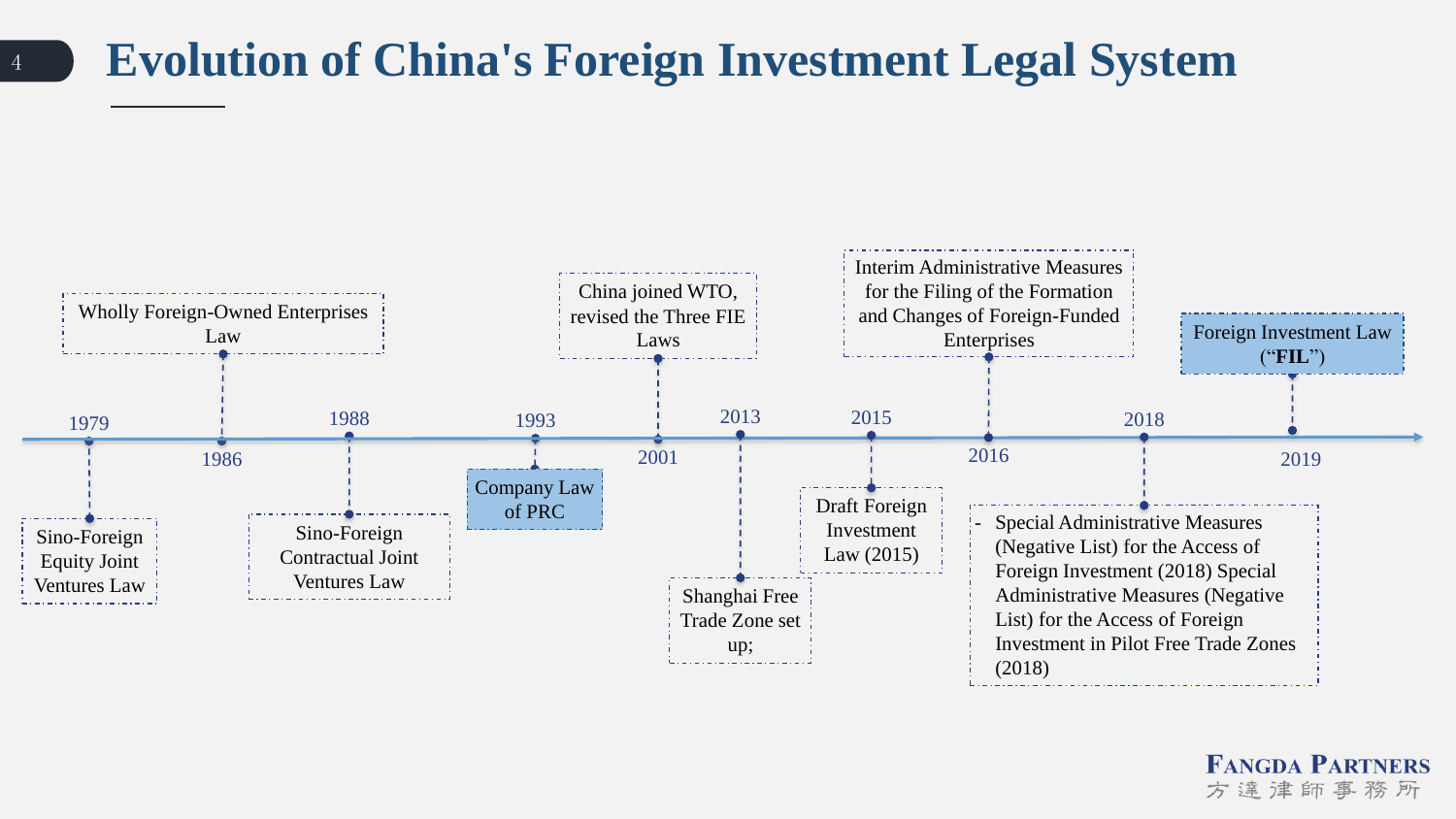### <sup>4</sup> **Evolution of China's Foreign Investment Legal System**

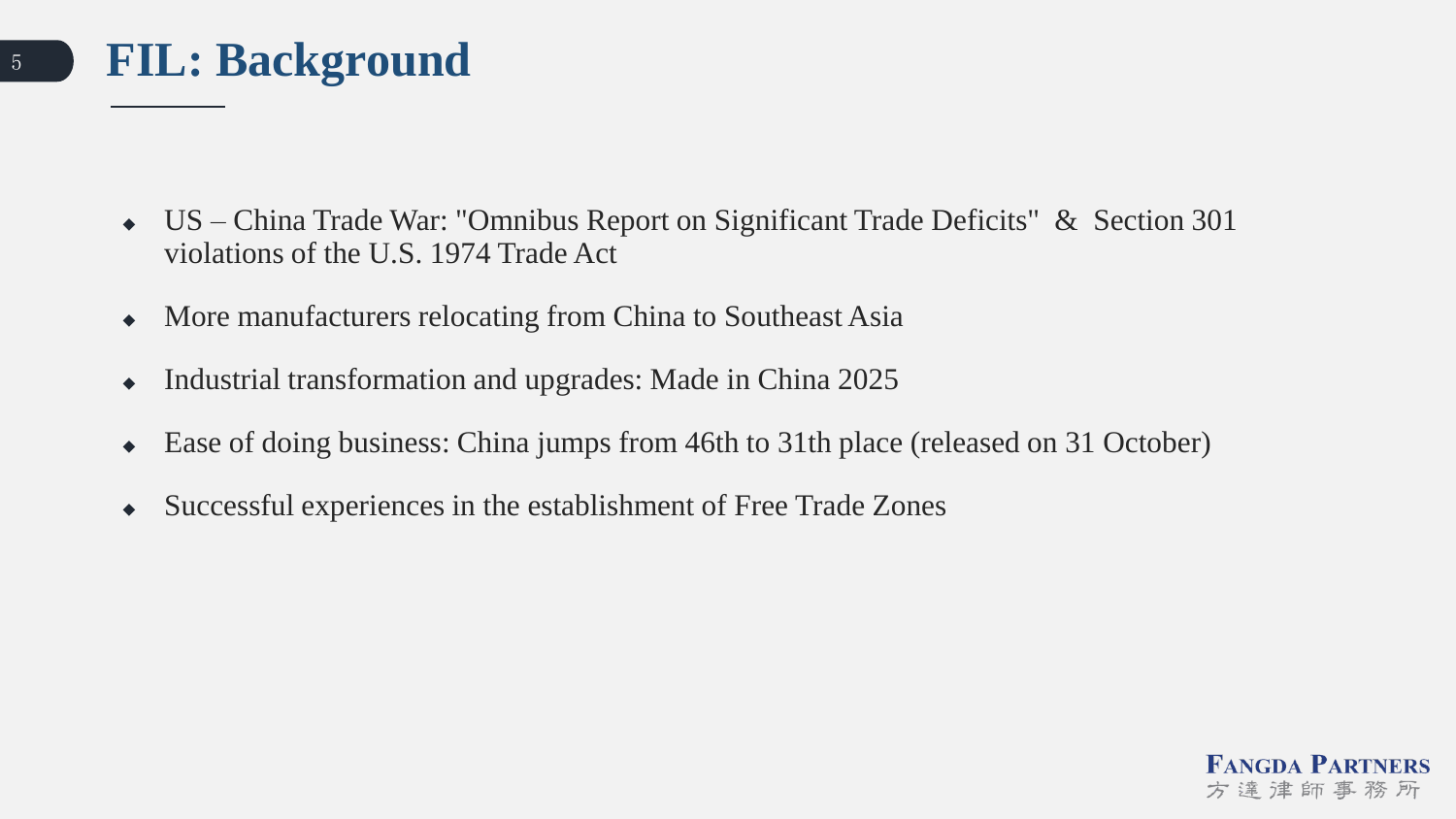

- US China Trade War: "Omnibus Report on Significant Trade Deficits" & Section 301 violations of the U.S. 1974 Trade Act
- More manufacturers relocating from China to Southeast Asia
- Industrial transformation and upgrades: Made in China 2025
- Ease of doing business: China jumps from 46th to 31th place (released on 31 October)
- Successful experiences in the establishment of Free Trade Zones

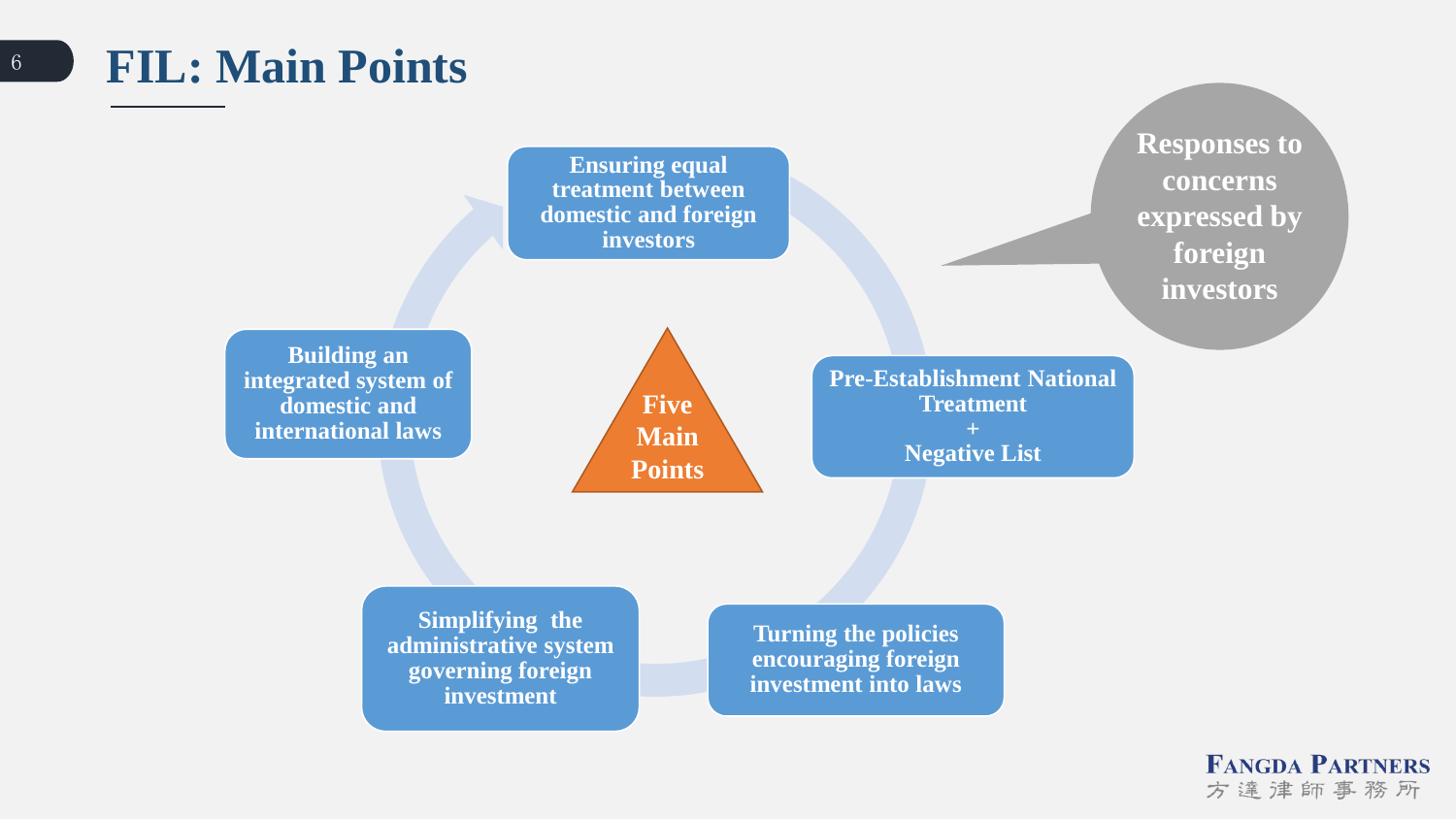### <sup>6</sup> **FIL: Main Points**

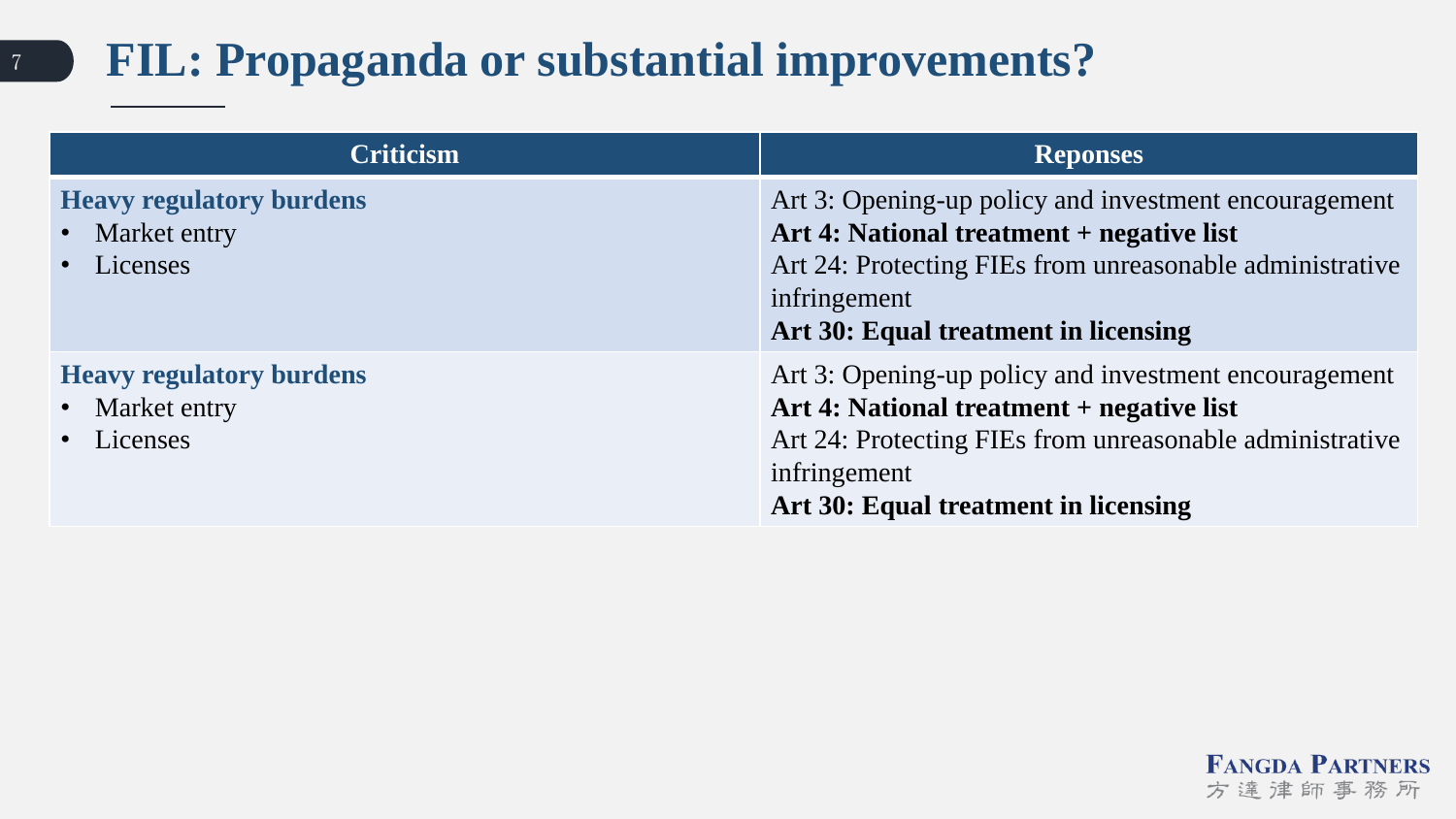## <sup>7</sup> **FIL: Propaganda or substantial improvements?**

| <b>Criticism</b>                                                | <b>Reponses</b>                                                                                                                                                                                                        |
|-----------------------------------------------------------------|------------------------------------------------------------------------------------------------------------------------------------------------------------------------------------------------------------------------|
| <b>Heavy regulatory burdens</b><br>• Market entry<br>· Licenses | Art 3: Opening-up policy and investment encouragement<br>Art 4: National treatment + negative list<br>Art 24: Protecting FIEs from unreasonable administrative<br>infringement<br>Art 30: Equal treatment in licensing |
| <b>Heavy regulatory burdens</b><br>• Market entry<br>• Licenses | Art 3: Opening-up policy and investment encouragement<br>Art 4: National treatment + negative list<br>Art 24: Protecting FIEs from unreasonable administrative<br>infringement<br>Art 30: Equal treatment in licensing |

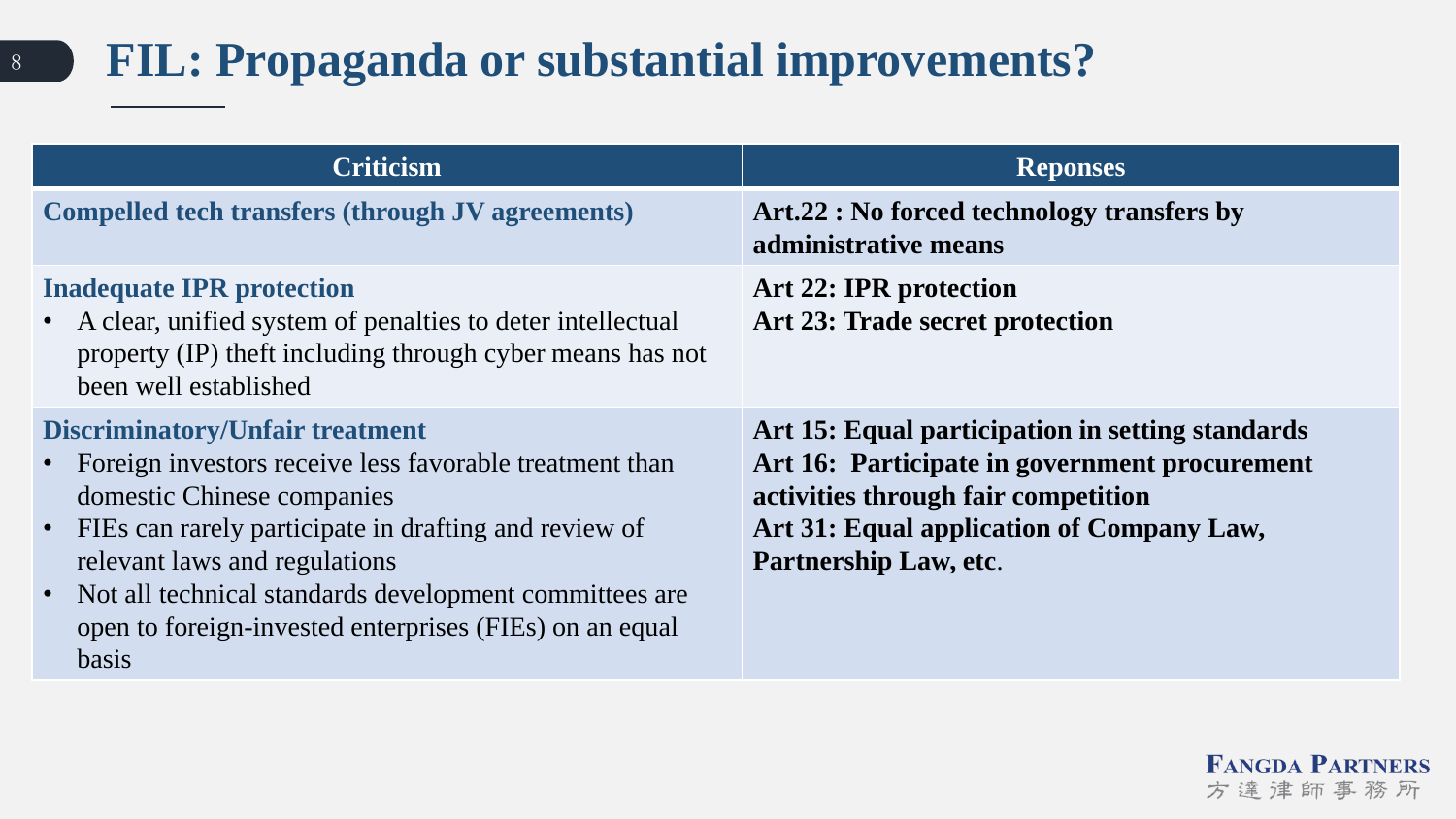## <sup>8</sup> **FIL: Propaganda or substantial improvements?**

| <b>Criticism</b>                                                                                                                                                                                                                                                                                                                                                 | <b>Reponses</b>                                                                                                                                                                                                |
|------------------------------------------------------------------------------------------------------------------------------------------------------------------------------------------------------------------------------------------------------------------------------------------------------------------------------------------------------------------|----------------------------------------------------------------------------------------------------------------------------------------------------------------------------------------------------------------|
| <b>Compelled tech transfers (through JV agreements)</b>                                                                                                                                                                                                                                                                                                          | Art.22 : No forced technology transfers by<br>administrative means                                                                                                                                             |
| <b>Inadequate IPR protection</b><br>A clear, unified system of penalties to deter intellectual<br>property (IP) theft including through cyber means has not<br>been well established                                                                                                                                                                             | Art 22: IPR protection<br>Art 23: Trade secret protection                                                                                                                                                      |
| <b>Discriminatory/Unfair treatment</b><br>Foreign investors receive less favorable treatment than<br>domestic Chinese companies<br>FIEs can rarely participate in drafting and review of<br>relevant laws and regulations<br>• Not all technical standards development committees are<br>open to foreign-invested enterprises (FIEs) on an equal<br><b>basis</b> | Art 15: Equal participation in setting standards<br>Art 16: Participate in government procurement<br>activities through fair competition<br>Art 31: Equal application of Company Law,<br>Partnership Law, etc. |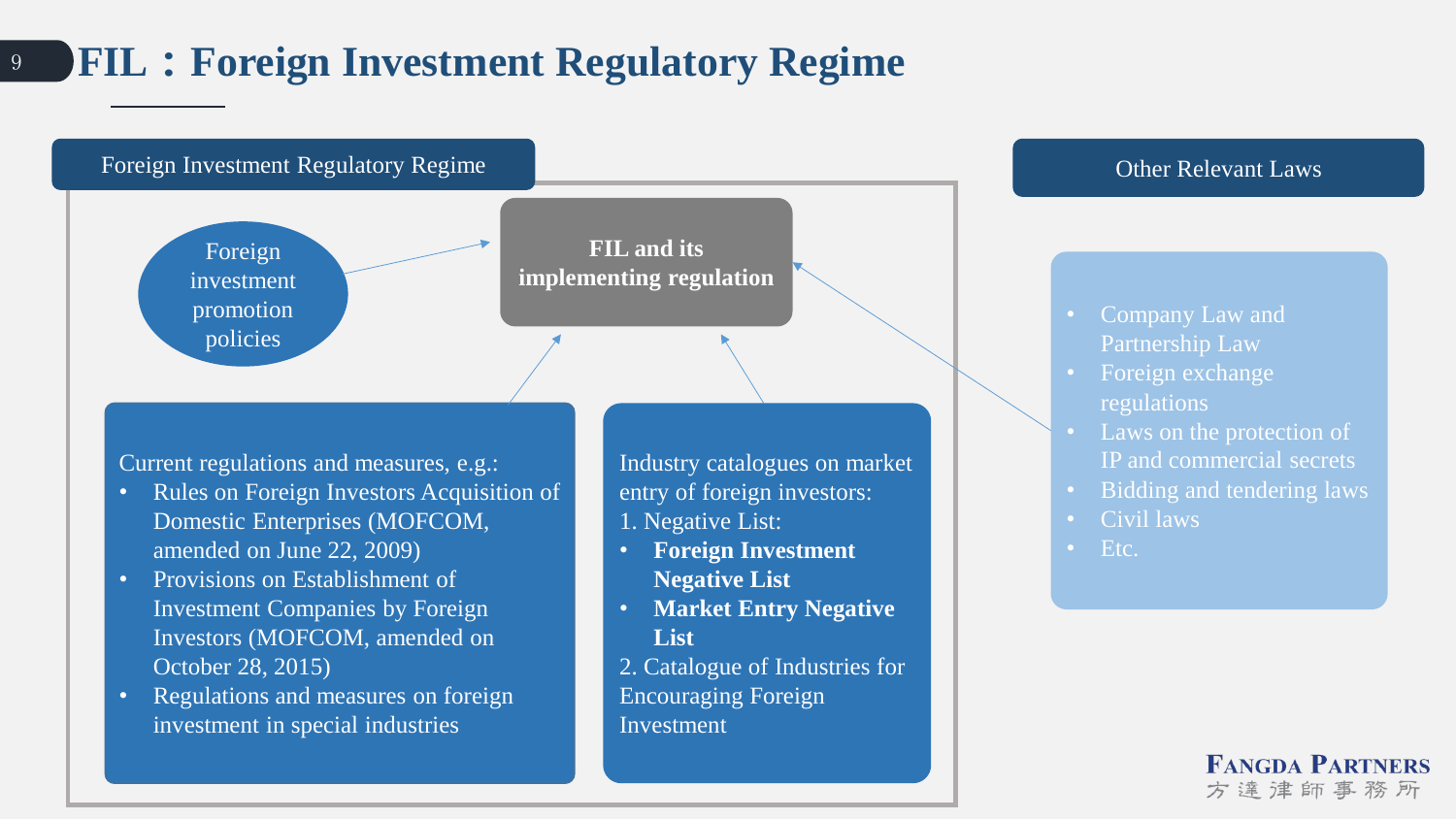#### <sup>9</sup> **FIL**:**Foreign Investment Regulatory Regime**



方達津師事務所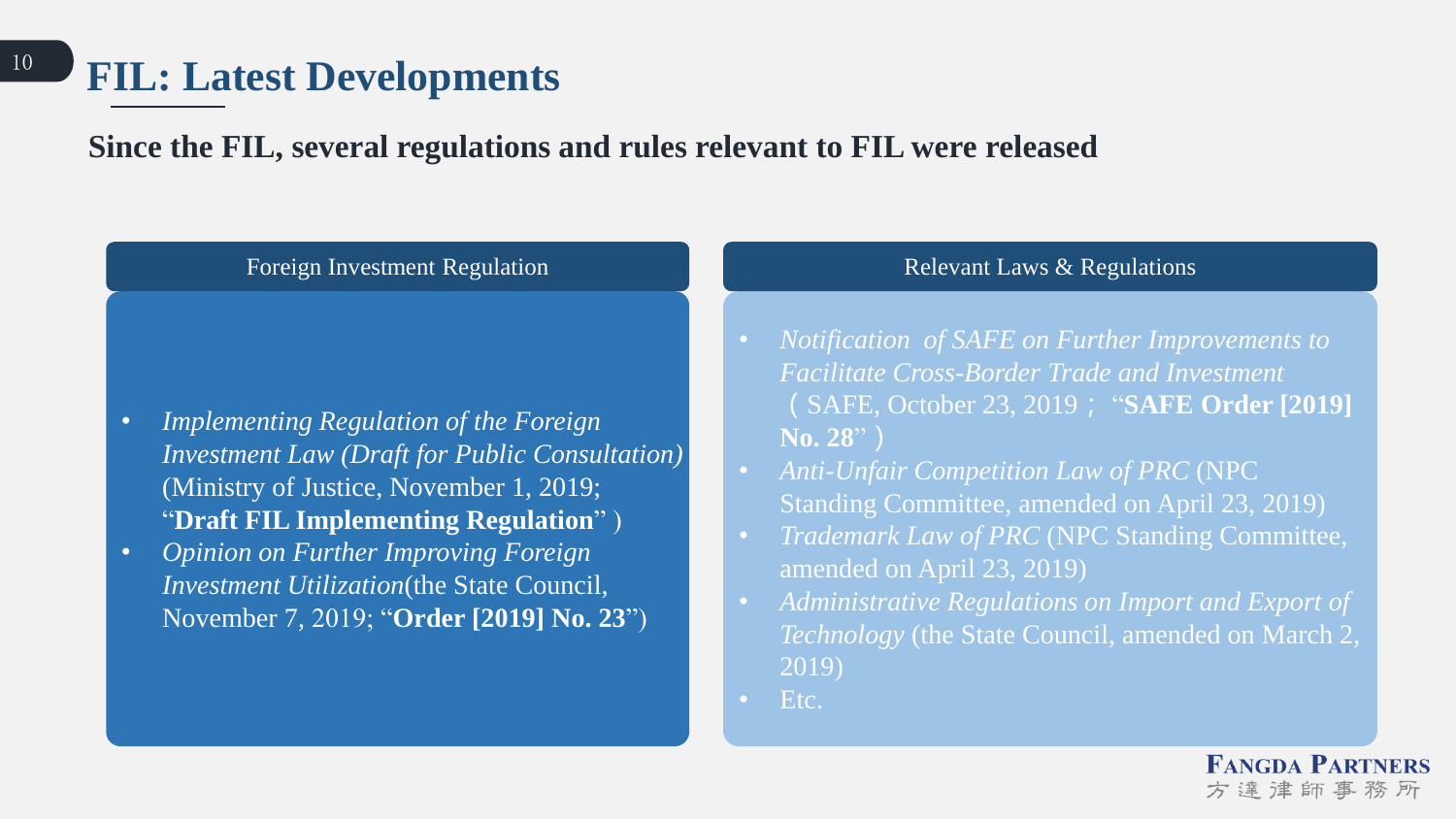#### **Since the FIL, several regulations and rules relevant to FIL were released**

#### Foreign Investment Regulation **Relevant Laws & Regulations**

- *Implementing Regulation of the Foreign Investment Law (Draft for Public Consultation)*  (Ministry of Justice, November 1, 2019; "**Draft FIL Implementing Regulation**" )
- *Opinion on Further Improving Foreign Investment Utilization*(the State Council, November 7, 2019; "**Order [2019] No. 23**")

- *Notification of SAFE on Further Improvements to Facilitate Cross-Border Trade and Investment*  (SAFE, October 23, 2019; "**SAFE Order [2019] No. 28**")
- *Anti-Unfair Competition Law of PRC* (NPC Standing Committee, amended on April 23, 2019)
- *Trademark Law of PRC* (NPC Standing Committee, amended on April 23, 2019)
- *Administrative Regulations on Import and Export of Technology* (the State Council, amended on March 2, 2019)
- Etc.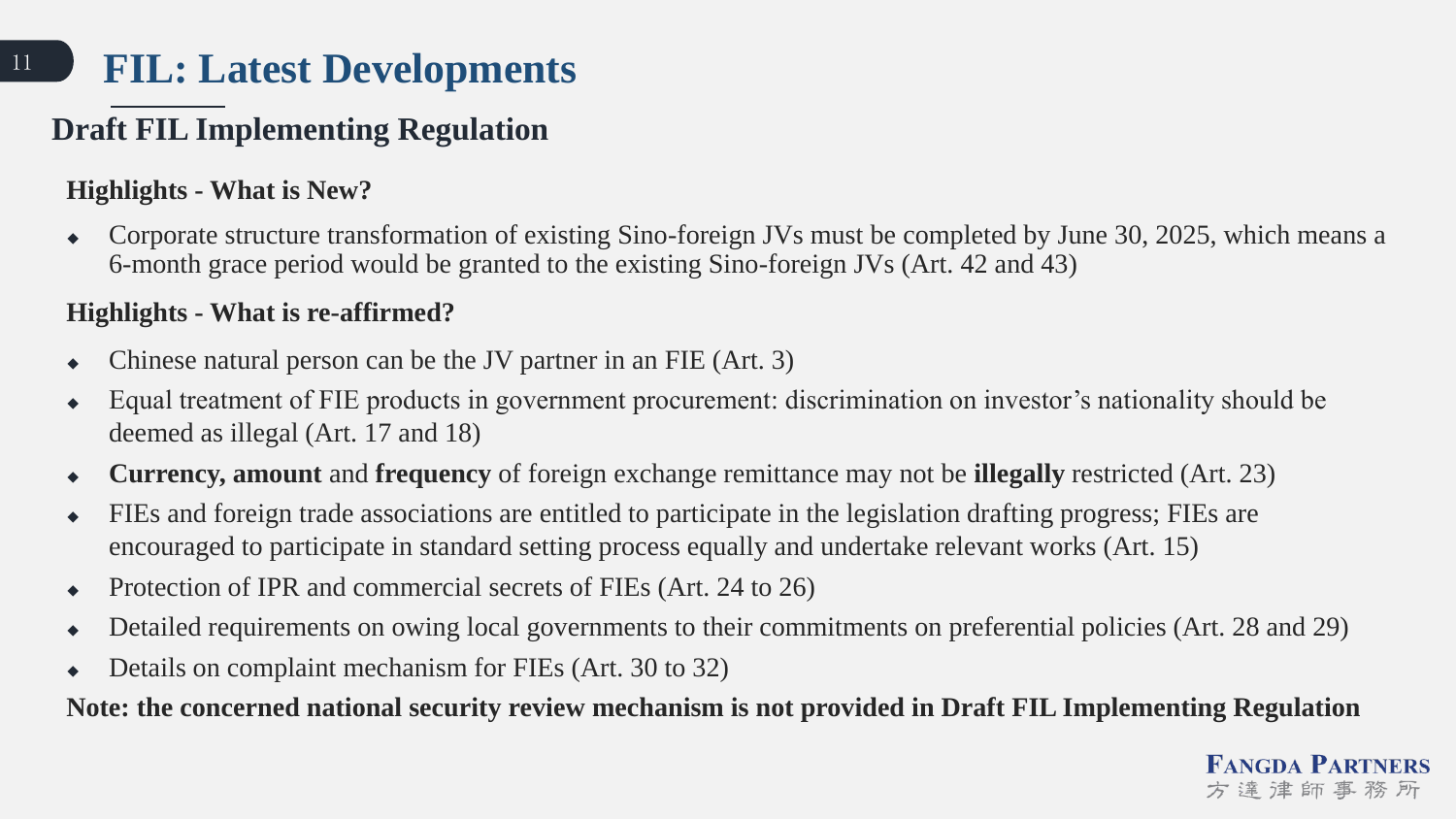#### **Draft FIL Implementing Regulation**

#### **Highlights - What is New?**

 Corporate structure transformation of existing Sino-foreign JVs must be completed by June 30, 2025, which means a 6-month grace period would be granted to the existing Sino-foreign JVs (Art. 42 and 43)

#### **Highlights - What is re-affirmed?**

- $\bullet$  Chinese natural person can be the JV partner in an FIE (Art. 3)
- Equal treatment of FIE products in government procurement: discrimination on investor's nationality should be deemed as illegal (Art. 17 and 18)
- **Currency, amount** and **frequency** of foreign exchange remittance may not be **illegally** restricted (Art. 23)
- FIEs and foreign trade associations are entitled to participate in the legislation drafting progress; FIEs are encouraged to participate in standard setting process equally and undertake relevant works (Art. 15)
- Protection of IPR and commercial secrets of FIEs (Art. 24 to 26)
- Detailed requirements on owing local governments to their commitments on preferential policies (Art. 28 and 29)
- Details on complaint mechanism for FIEs (Art. 30 to 32)

**Note: the concerned national security review mechanism is not provided in Draft FIL Implementing Regulation**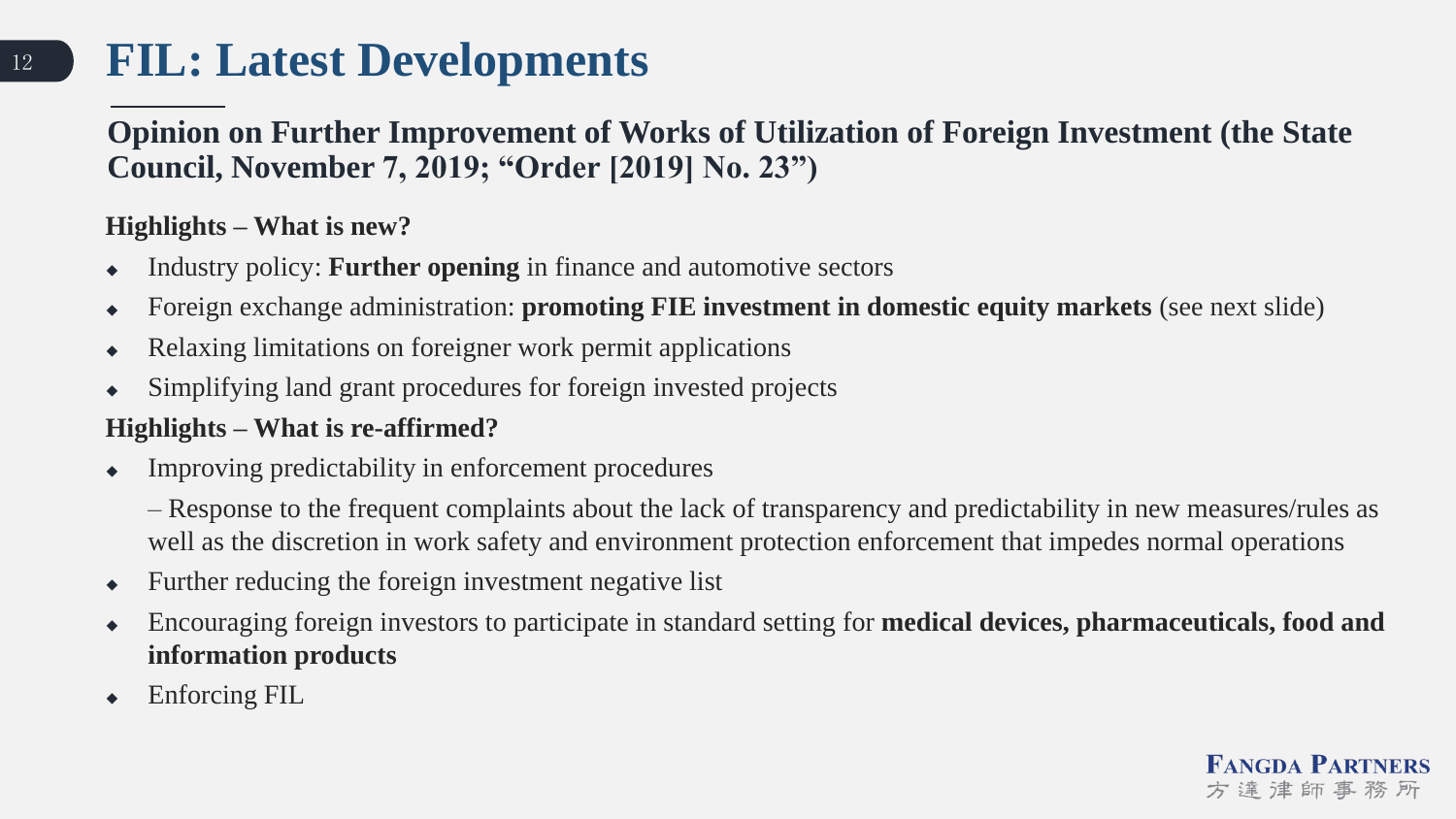#### **Opinion on Further Improvement of Works of Utilization of Foreign Investment (the State Council, November 7, 2019; "Order [2019] No. 23")**

#### **Highlights – What is new?**

- Industry policy: **Further opening** in finance and automotive sectors
- Foreign exchange administration: **promoting FIE investment in domestic equity markets** (see next slide)
- Relaxing limitations on foreigner work permit applications
- Simplifying land grant procedures for foreign invested projects

#### **Highlights – What is re-affirmed?**

- Improving predictability in enforcement procedures
	- Response to the frequent complaints about the lack of transparency and predictability in new measures/rules as well as the discretion in work safety and environment protection enforcement that impedes normal operations
- Further reducing the foreign investment negative list
- Encouraging foreign investors to participate in standard setting for **medical devices, pharmaceuticals, food and information products**
- ◆ Enforcing FIL

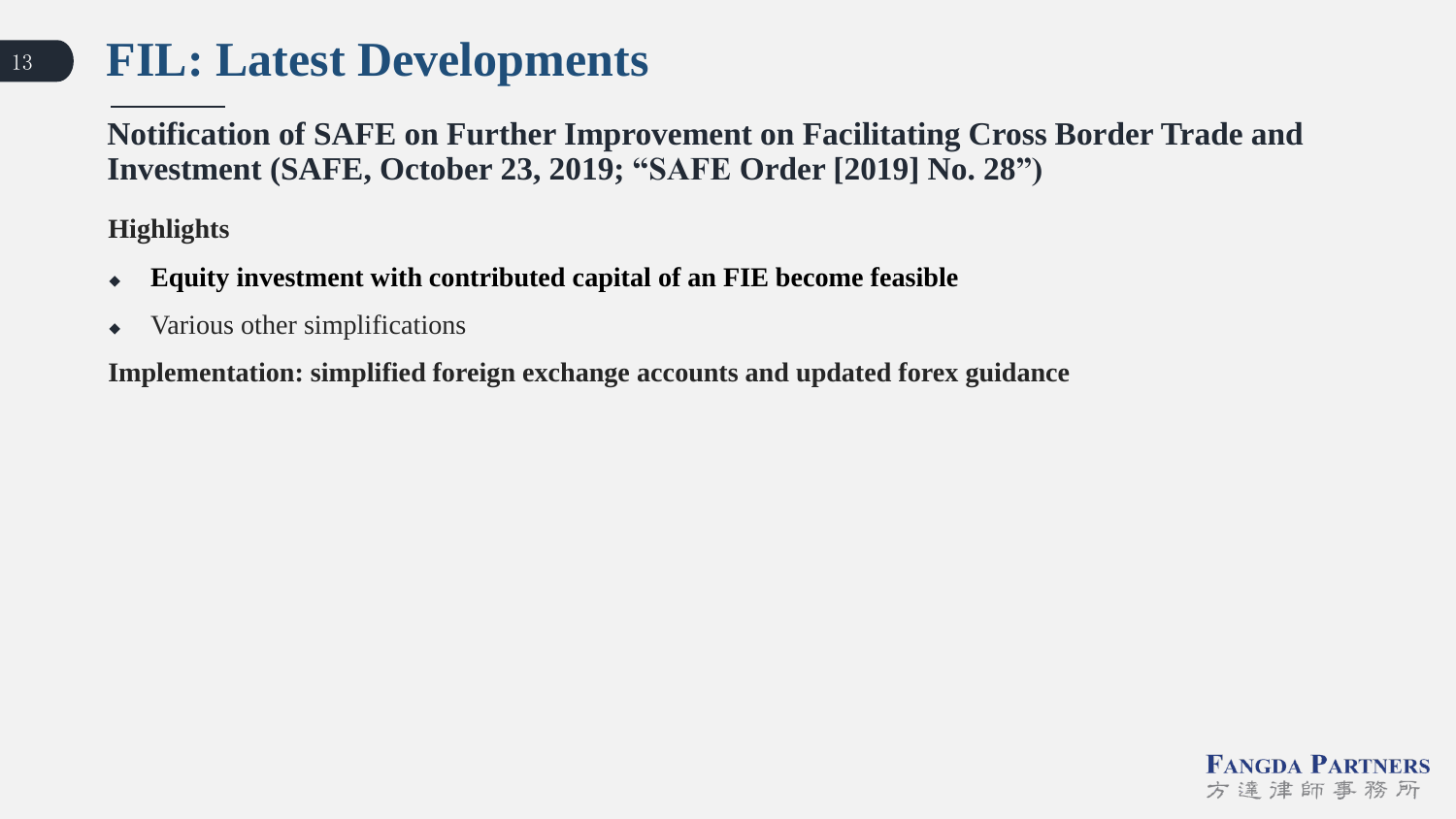**Notification of SAFE on Further Improvement on Facilitating Cross Border Trade and Investment (SAFE, October 23, 2019; "SAFE Order [2019] No. 28")**

**Highlights** 

- **Equity investment with contributed capital of an FIE become feasible**
- Various other simplifications

**Implementation: simplified foreign exchange accounts and updated forex guidance** 

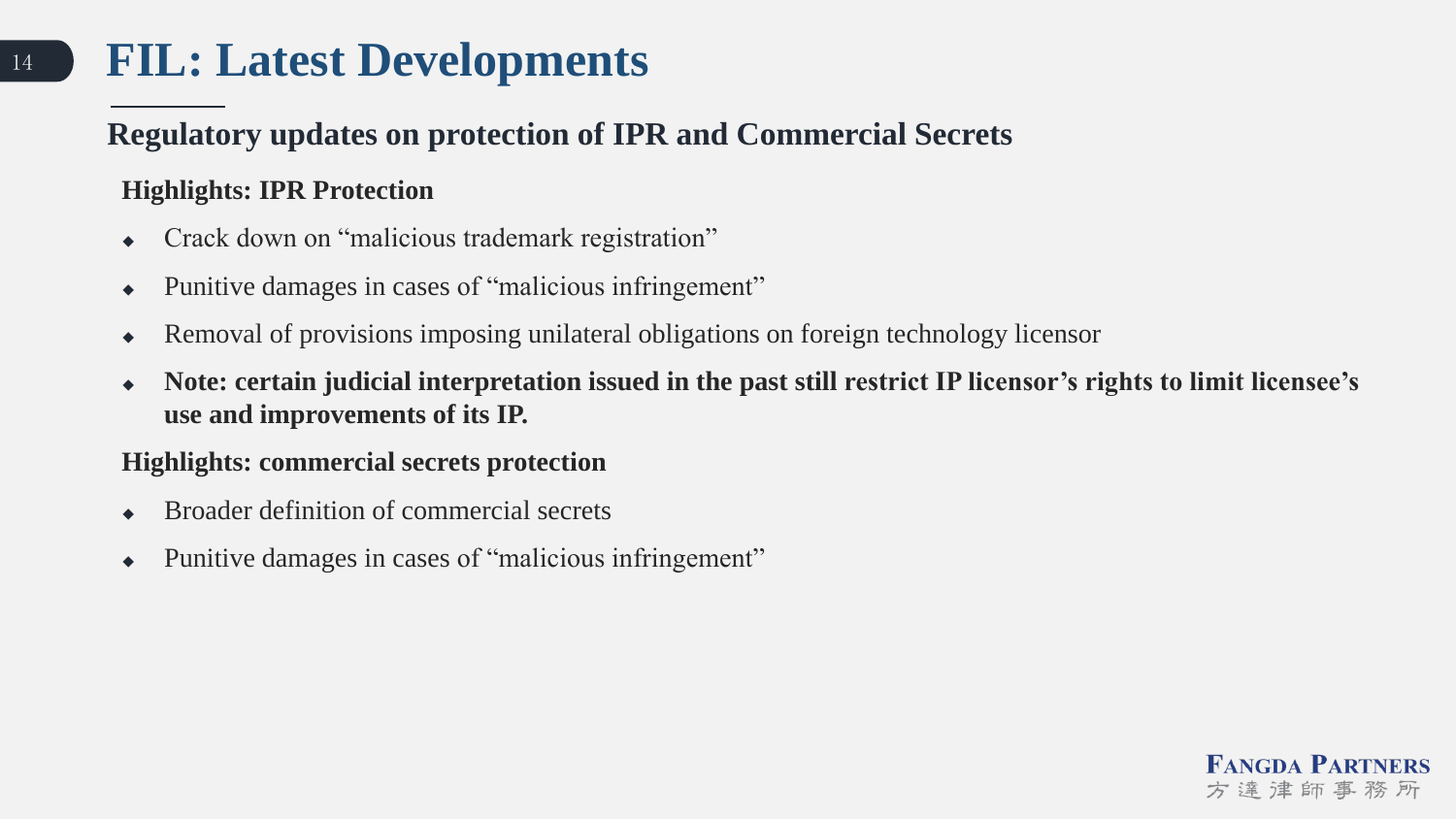#### **Regulatory updates on protection of IPR and Commercial Secrets**

#### **Highlights: IPR Protection**

- Crack down on "malicious trademark registration"
- Punitive damages in cases of "malicious infringement"
- Removal of provisions imposing unilateral obligations on foreign technology licensor
- **Note: certain judicial interpretation issued in the past still restrict IP licensor's rights to limit licensee's use and improvements of its IP.**

#### **Highlights: commercial secrets protection**

- Broader definition of commercial secrets
- Punitive damages in cases of "malicious infringement"

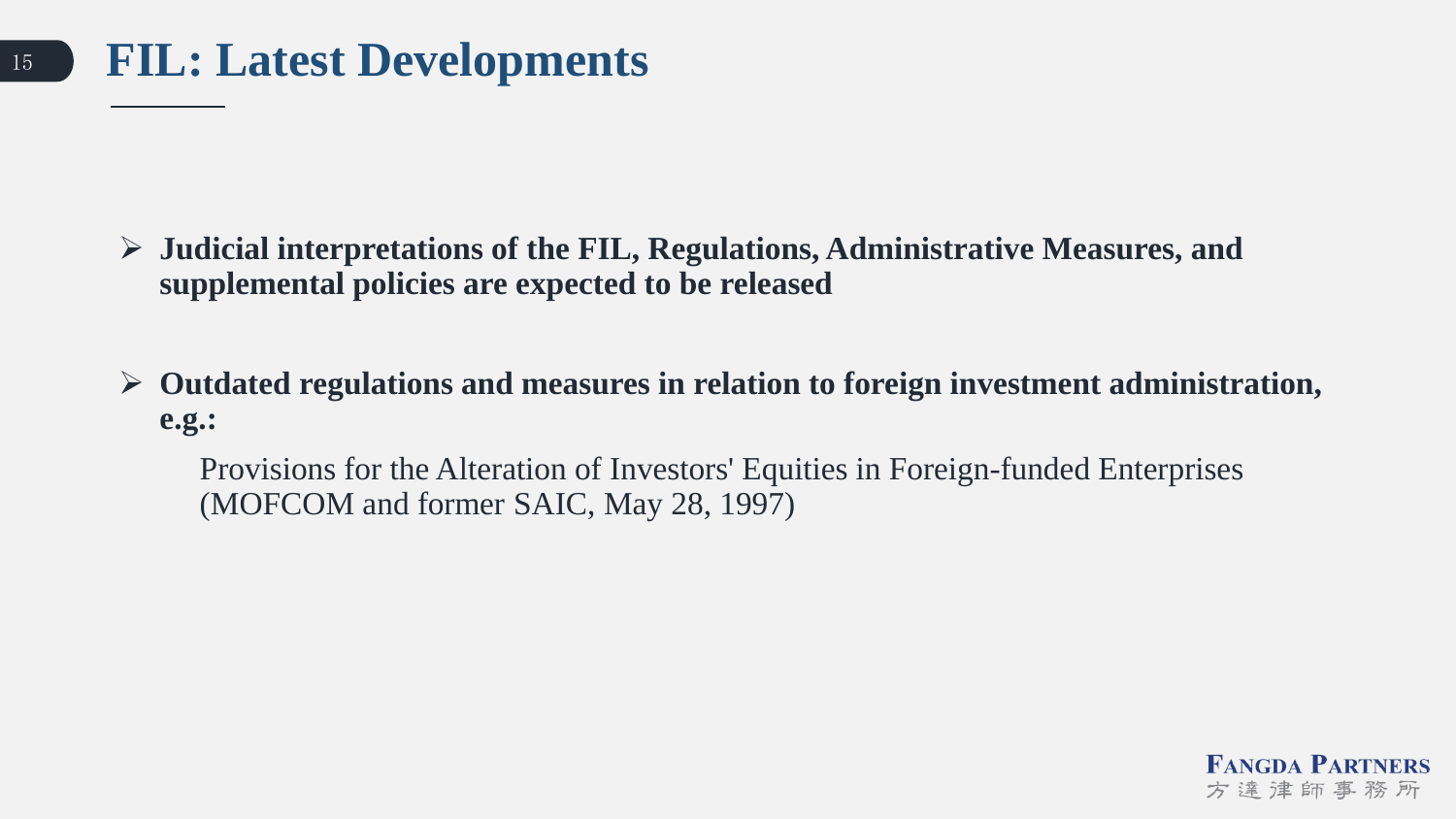- **Judicial interpretations of the FIL, Regulations, Administrative Measures, and supplemental policies are expected to be released**
- **Outdated regulations and measures in relation to foreign investment administration, e.g.:**

Provisions for the Alteration of Investors' Equities in Foreign-funded Enterprises (MOFCOM and former SAIC, May 28, 1997)

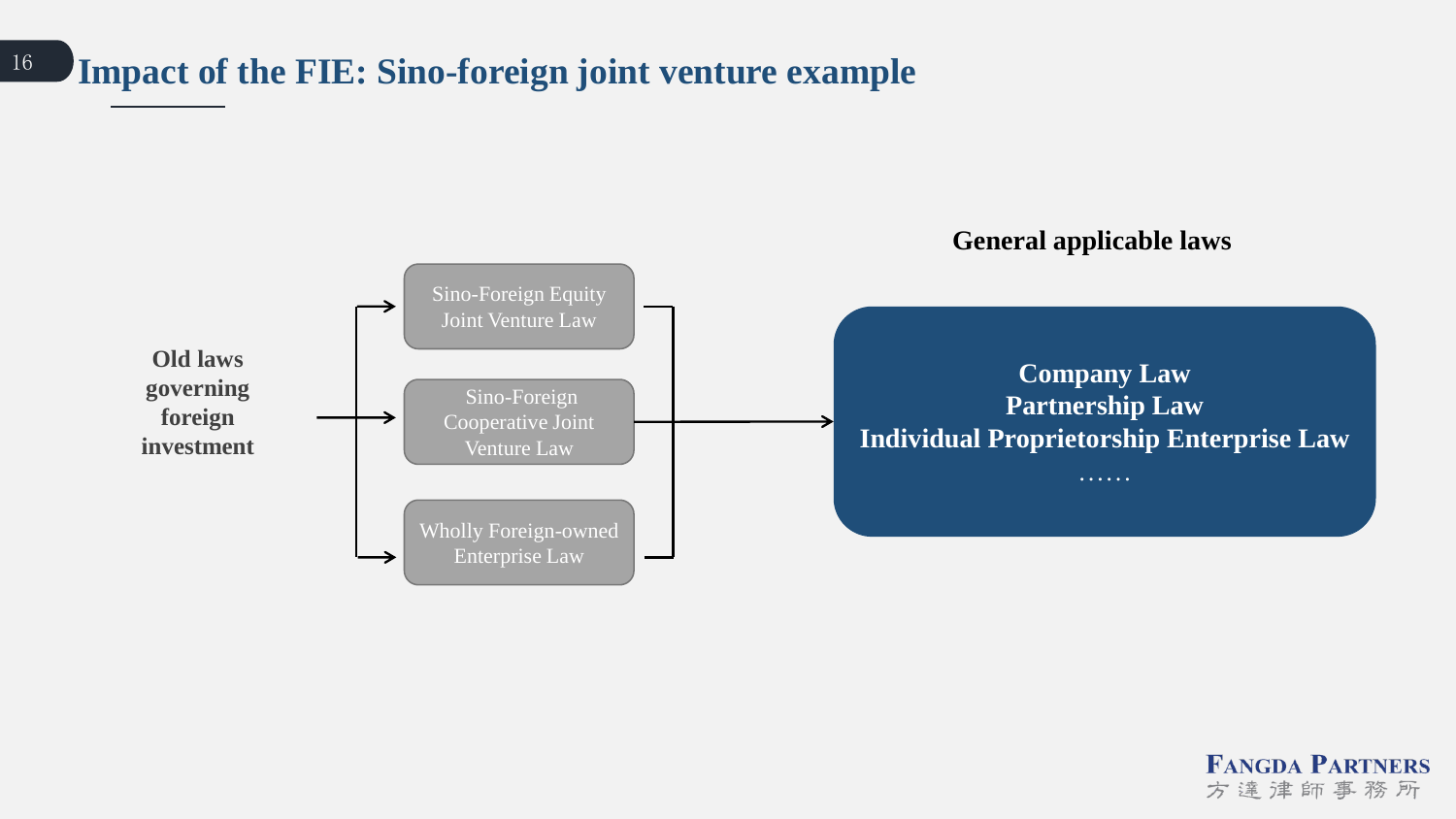#### <sup>16</sup> **Impact of the FIE: Sino-foreign joint venture example**



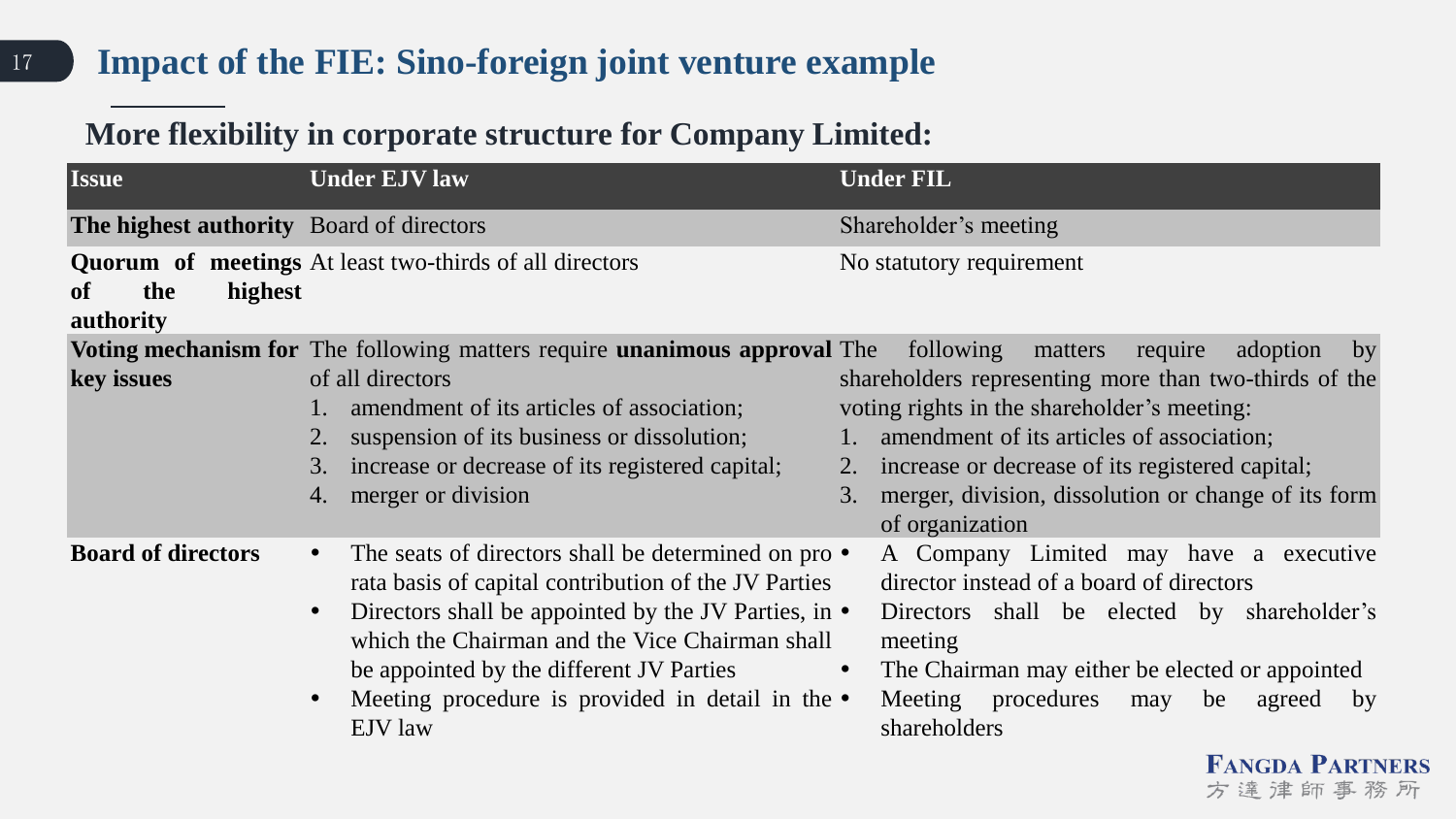#### <sup>17</sup> **Impact of the FIE: Sino-foreign joint venture example**

#### **More flexibility in corporate structure for Company Limited:**

| <b>Issue</b>                                    | <b>Under EJV law</b>                                                                                                                                                                                                                                                                                                                                                       | <b>Under FIL</b>                                                                                                                                                                                                                                                                           |
|-------------------------------------------------|----------------------------------------------------------------------------------------------------------------------------------------------------------------------------------------------------------------------------------------------------------------------------------------------------------------------------------------------------------------------------|--------------------------------------------------------------------------------------------------------------------------------------------------------------------------------------------------------------------------------------------------------------------------------------------|
| <b>The highest authority</b> Board of directors |                                                                                                                                                                                                                                                                                                                                                                            | Shareholder's meeting                                                                                                                                                                                                                                                                      |
| highest<br>the<br>of<br>authority               | <b>Quorum</b> of meetings At least two-thirds of all directors                                                                                                                                                                                                                                                                                                             | No statutory requirement                                                                                                                                                                                                                                                                   |
|                                                 | <b>Voting mechanism for</b> The following matters require <b>unanimous approval</b> The                                                                                                                                                                                                                                                                                    | following matters<br>require<br>adoption<br>by                                                                                                                                                                                                                                             |
| key issues                                      | of all directors<br>amendment of its articles of association;<br>suspension of its business or dissolution;<br>3.<br>increase or decrease of its registered capital;<br>merger or division<br>4.                                                                                                                                                                           | shareholders representing more than two-thirds of the<br>voting rights in the shareholder's meeting:<br>amendment of its articles of association;<br>increase or decrease of its registered capital;<br>2.<br>merger, division, dissolution or change of its form<br>3.<br>of organization |
| <b>Board of directors</b>                       | The seats of directors shall be determined on pro $\bullet$<br>$\bullet$<br>rata basis of capital contribution of the JV Parties<br>Directors shall be appointed by the JV Parties, in $\bullet$<br>$\bullet$<br>which the Chairman and the Vice Chairman shall<br>be appointed by the different JV Parties<br>Meeting procedure is provided in detail in the •<br>EJV law | A Company Limited may have a executive<br>director instead of a board of directors<br>Directors shall be elected by shareholder's<br>meeting<br>The Chairman may either be elected or appointed<br>$\bullet$<br>procedures<br>Meeting<br>be<br>may<br>agreed<br>by<br>shareholders         |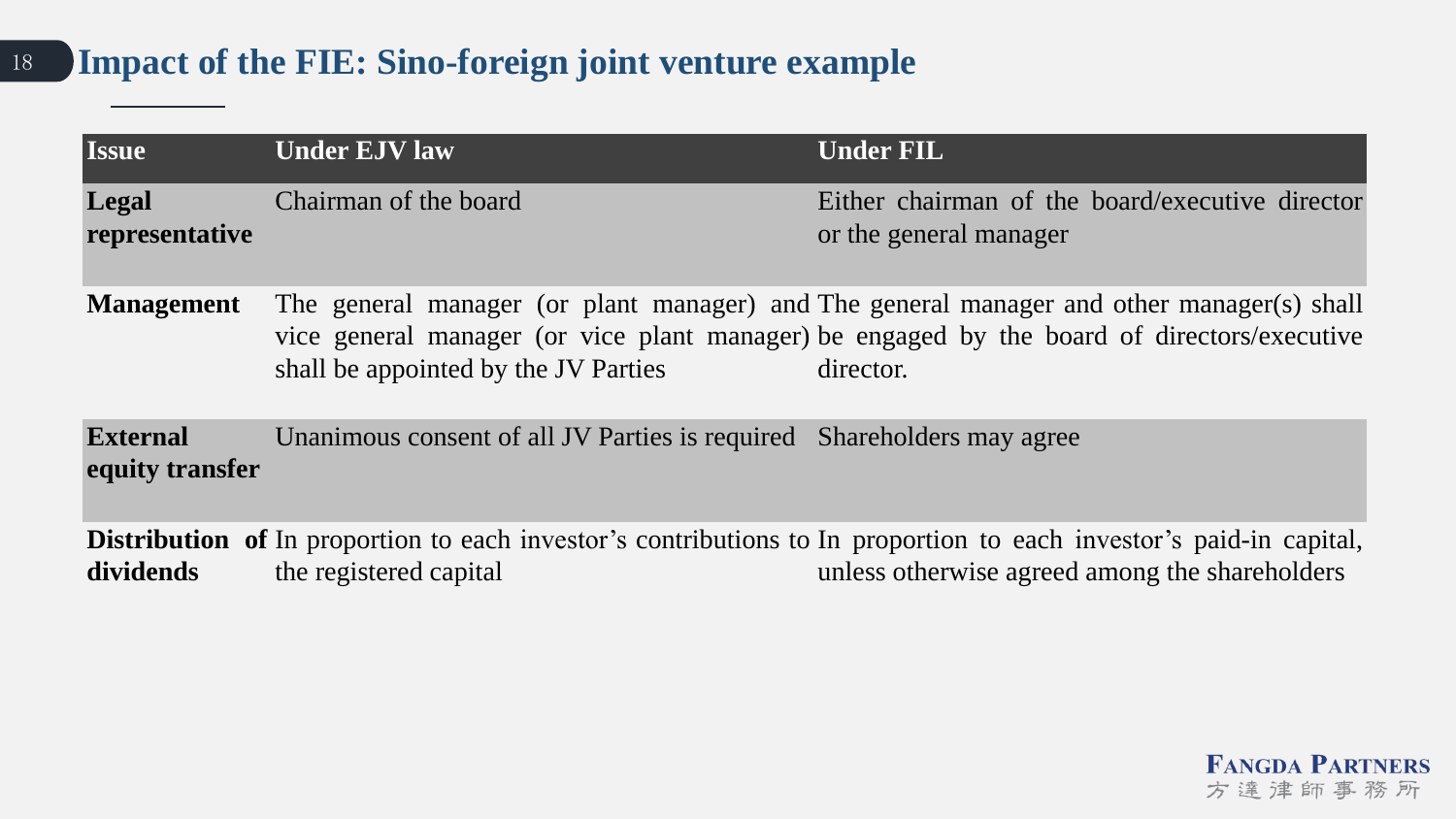#### <sup>18</sup> **Impact of the FIE: Sino-foreign joint venture example**

| <b>Issue</b>                       | <b>Under EJV law</b>                                                   | <b>Under FIL</b>                                                                                                                                                                                      |
|------------------------------------|------------------------------------------------------------------------|-------------------------------------------------------------------------------------------------------------------------------------------------------------------------------------------------------|
| Legal<br>representative            | Chairman of the board                                                  | Either chairman of the board/executive director<br>or the general manager                                                                                                                             |
| <b>Management</b>                  | shall be appointed by the JV Parties                                   | The general manager (or plant manager) and The general manager and other manager(s) shall<br>vice general manager (or vice plant manager) be engaged by the board of directors/executive<br>director. |
| <b>External</b><br>equity transfer | Unanimous consent of all JV Parties is required Shareholders may agree |                                                                                                                                                                                                       |
| dividends                          | the registered capital                                                 | <b>Distribution of</b> In proportion to each investor's contributions to In proportion to each investor's paid-in capital,<br>unless otherwise agreed among the shareholders                          |

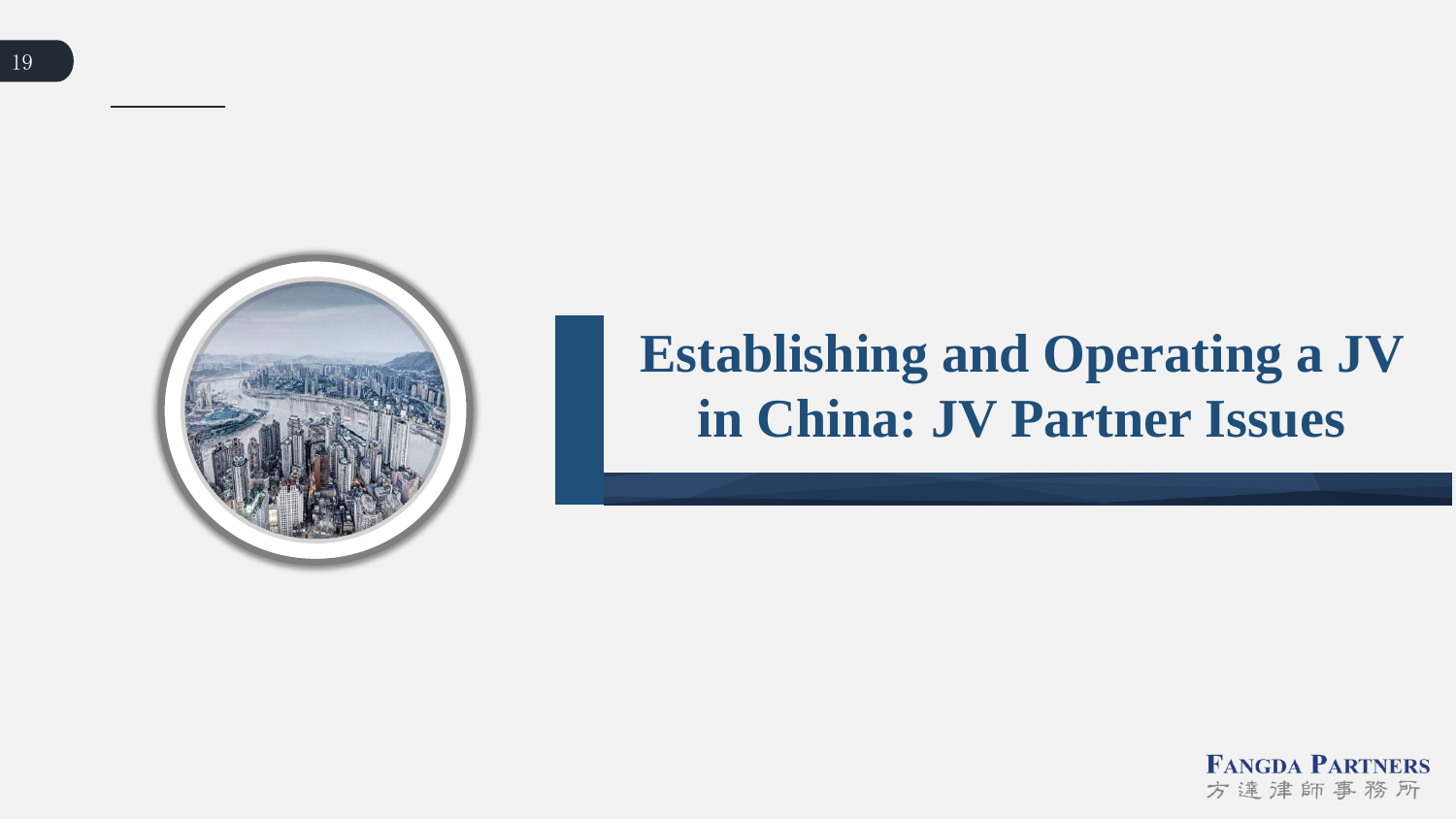

# **Establishing and Operating a JV in China: JV Partner Issues**

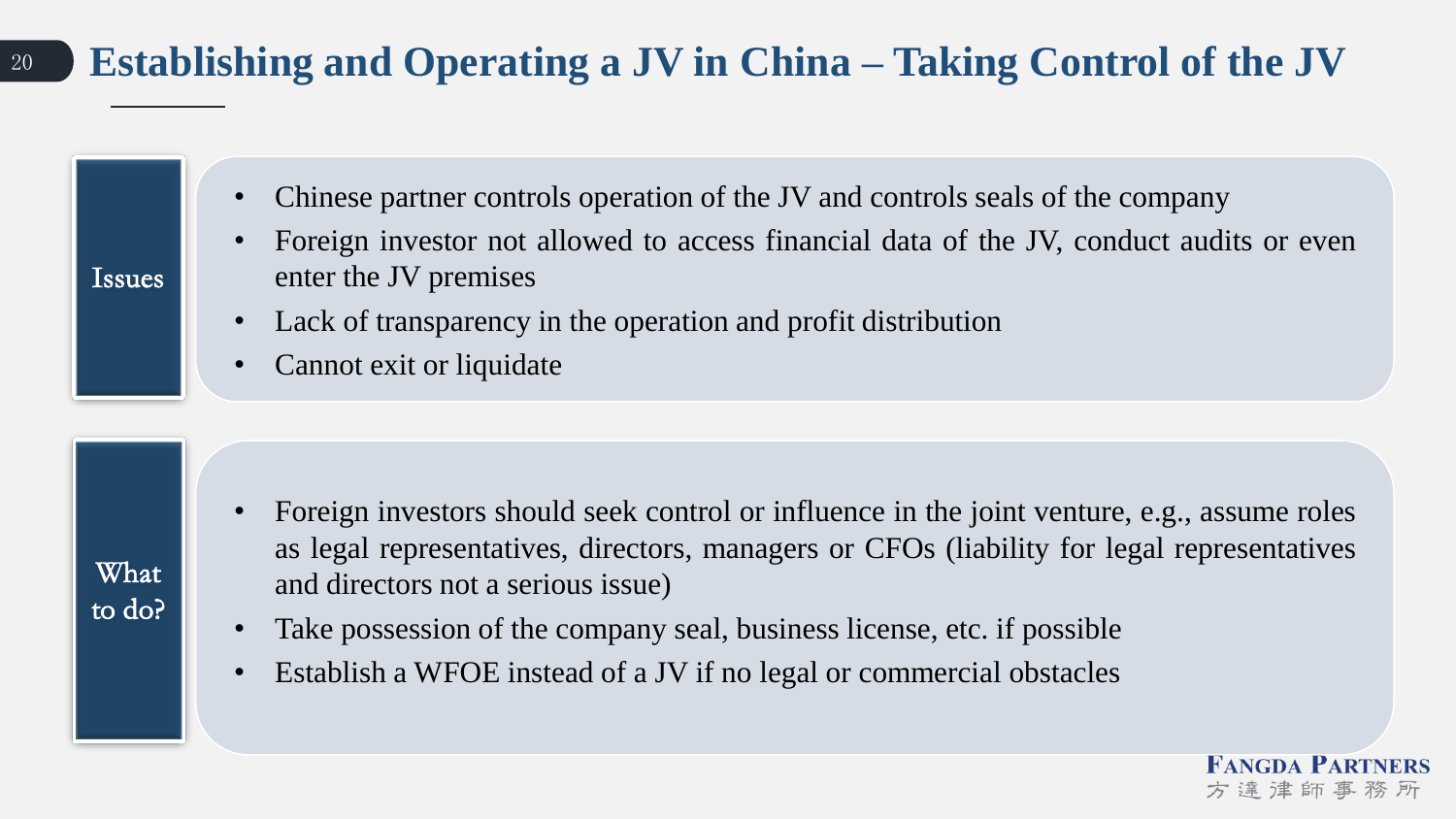### <sup>20</sup> **Establishing and Operating a JV in China – Taking Control of the JV**

- Chinese partner controls operation of the JV and controls seals of the company
- Foreign investor not allowed to access financial data of the JV, conduct audits or even enter the JV premises
- Lack of transparency in the operation and profit distribution
- Cannot exit or liquidate

- Foreign investors should seek control or influence in the joint venture, e.g., assume roles as legal representatives, directors, managers or CFOs (liability for legal representatives and directors not a serious issue)
- Take possession of the company seal, business license, etc. if possible
- Establish a WFOE instead of a JV if no legal or commercial obstacles

Issues

What

to do?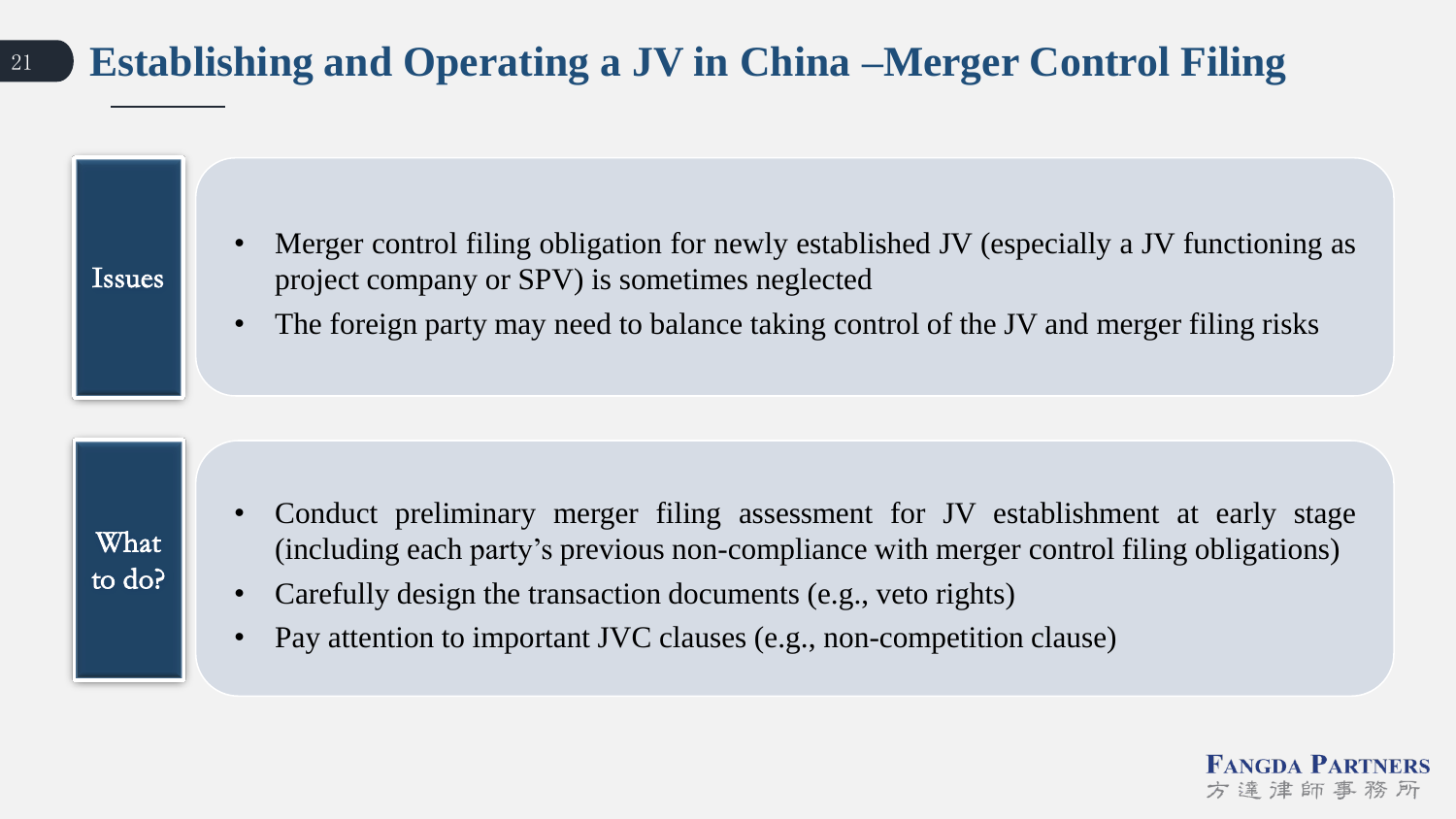### <sup>21</sup> **Establishing and Operating a JV in China –Merger Control Filing**

- Merger control filing obligation for newly established JV (especially a JV functioning as project company or SPV) is sometimes neglected
	- The foreign party may need to balance taking control of the JV and merger filing risks

What to do?

Issues

- Conduct preliminary merger filing assessment for JV establishment at early stage (including each party's previous non-compliance with merger control filing obligations)
- Carefully design the transaction documents (e.g., veto rights)
- Pay attention to important JVC clauses (e.g., non-competition clause)

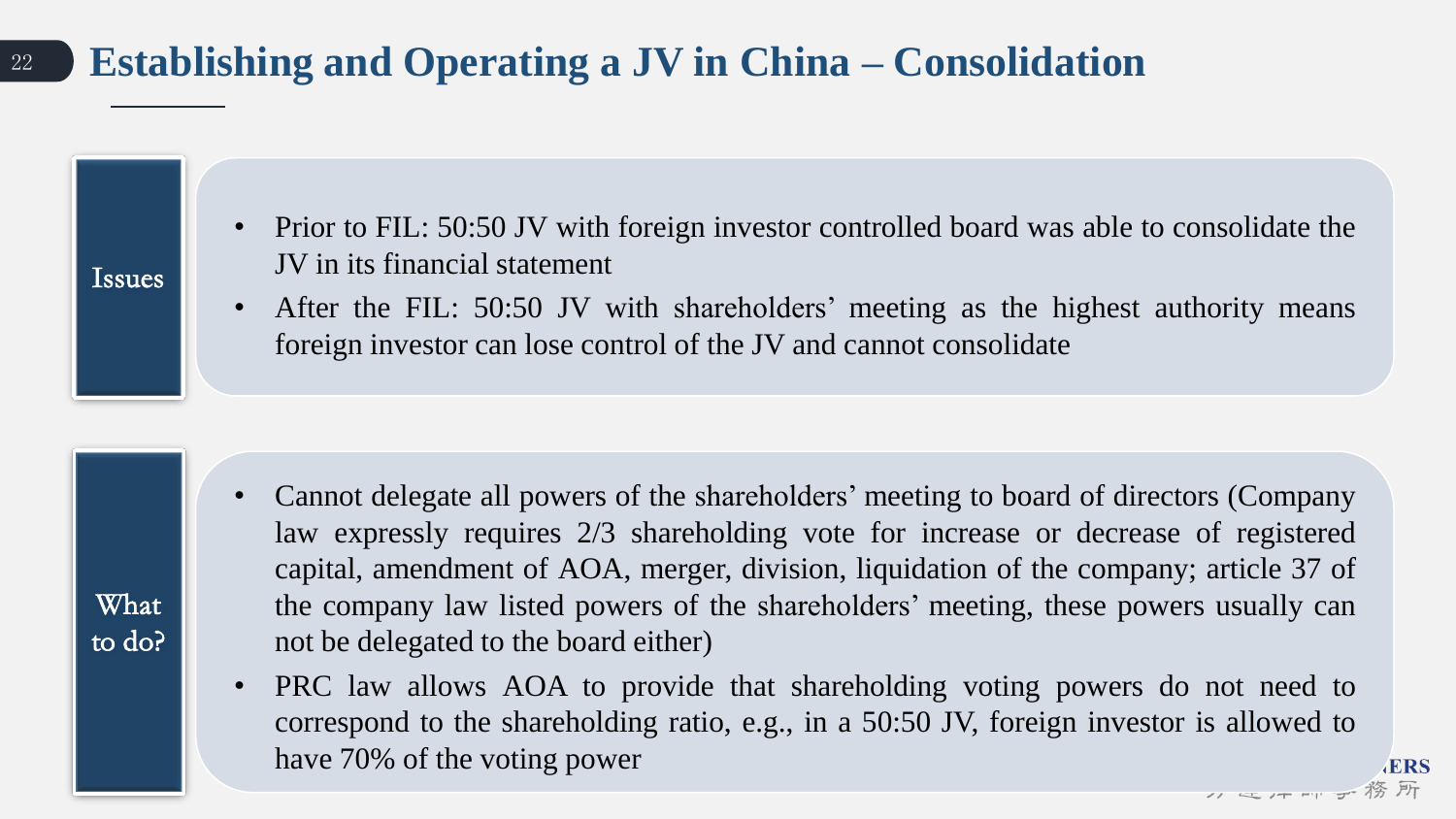### <sup>22</sup> **Establishing and Operating a JV in China – Consolidation**

Issues

What

to do?

- Prior to FIL: 50:50 JV with foreign investor controlled board was able to consolidate the JV in its financial statement
- After the FIL: 50:50 JV with shareholders' meeting as the highest authority means foreign investor can lose control of the JV and cannot consolidate

- Cannot delegate all powers of the shareholders' meeting to board of directors (Company law expressly requires 2/3 shareholding vote for increase or decrease of registered capital, amendment of AOA, merger, division, liquidation of the company; article 37 of the company law listed powers of the shareholders' meeting, these powers usually can not be delegated to the board either)
- PRC law allows AOA to provide that shareholding voting powers do not need to correspond to the shareholding ratio, e.g., in a 50:50 JV, foreign investor is allowed to have 70% of the voting power

**ERS** 

〃 ← / ← 一 → 務所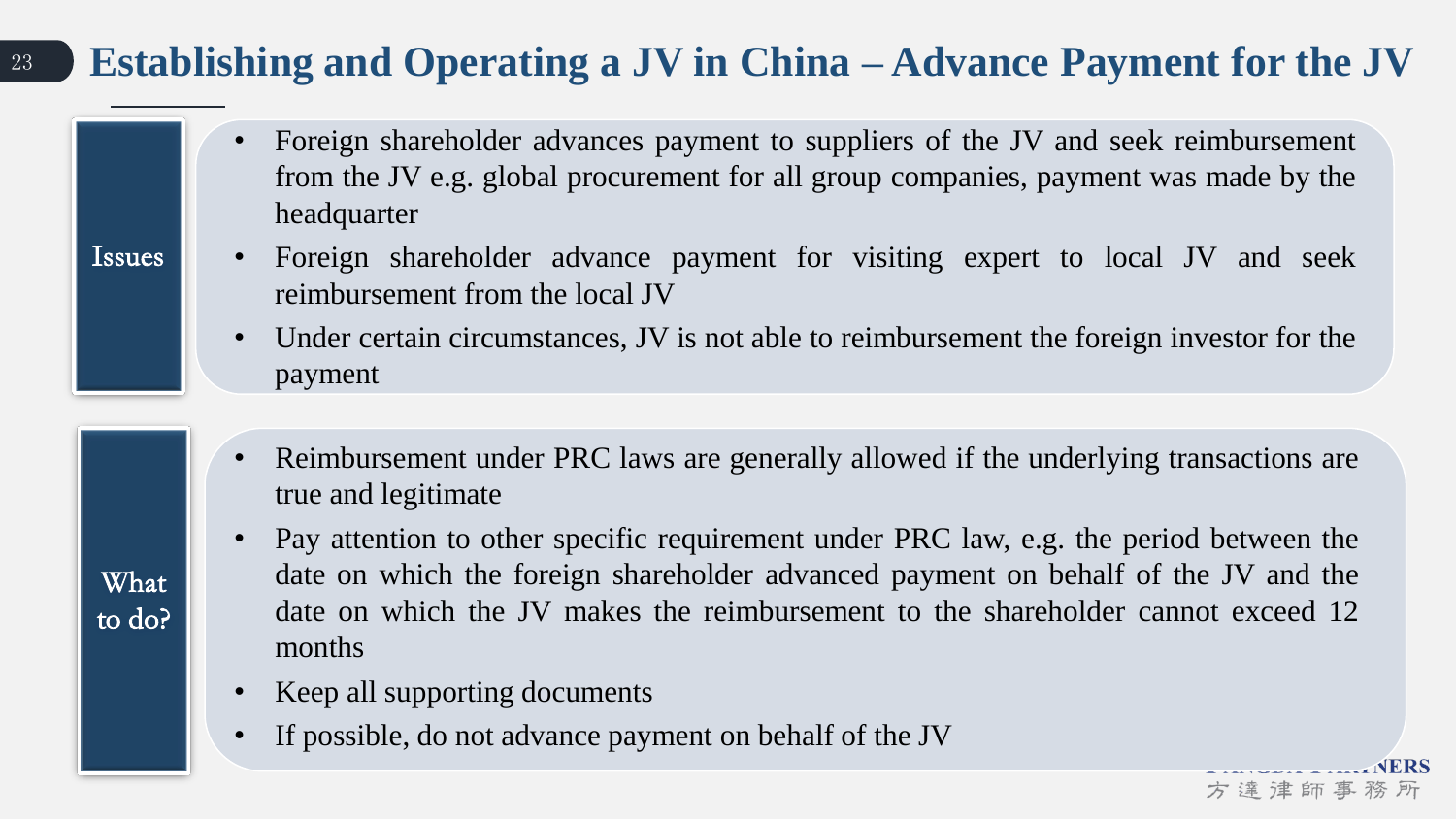### <sup>23</sup> **Establishing and Operating a JV in China – Advance Payment for the JV**

- Foreign shareholder advances payment to suppliers of the JV and seek reimbursement from the JV e.g. global procurement for all group companies, payment was made by the headquarter
- Issues

What

to do?

- Foreign shareholder advance payment for visiting expert to local JV and seek reimbursement from the local JV
- Under certain circumstances, JV is not able to reimbursement the foreign investor for the payment
- Reimbursement under PRC laws are generally allowed if the underlying transactions are true and legitimate
- Pay attention to other specific requirement under PRC law, e.g. the period between the date on which the foreign shareholder advanced payment on behalf of the JV and the date on which the JV makes the reimbursement to the shareholder cannot exceed 12 months

方達津師事

- Keep all supporting documents
- If possible, do not advance payment on behalf of the JV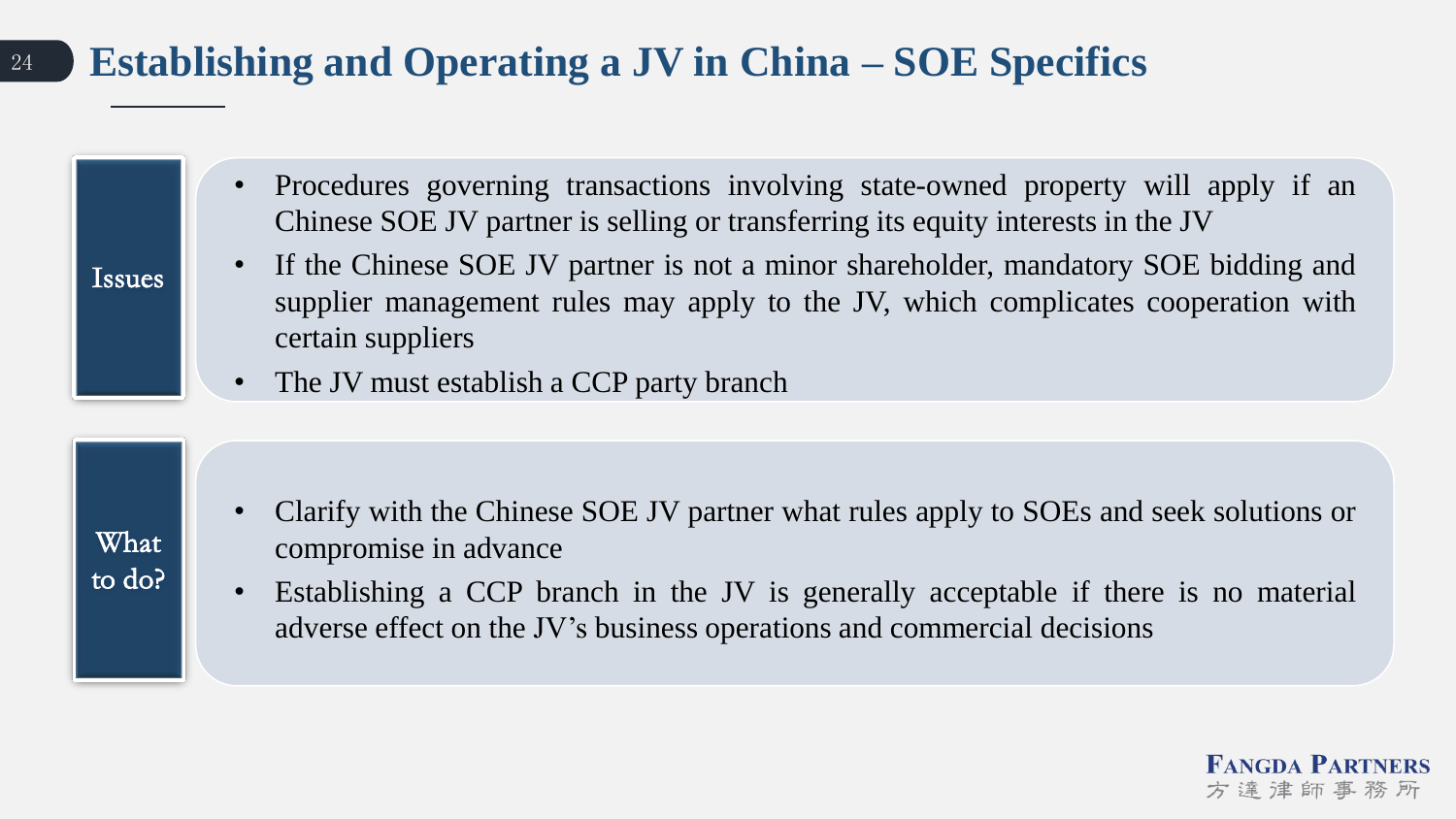### <sup>24</sup> **Establishing and Operating a JV in China – SOE Specifics**

- Procedures governing transactions involving state-owned property will apply if an Chinese SOE JV partner is selling or transferring its equity interests in the JV
- If the Chinese SOE JV partner is not a minor shareholder, mandatory SOE bidding and supplier management rules may apply to the JV, which complicates cooperation with certain suppliers
- The JV must establish a CCP party branch

What to do?

Issues

- Clarify with the Chinese SOE JV partner what rules apply to SOEs and seek solutions or compromise in advance
- Establishing a CCP branch in the JV is generally acceptable if there is no material adverse effect on the JV's business operations and commercial decisions

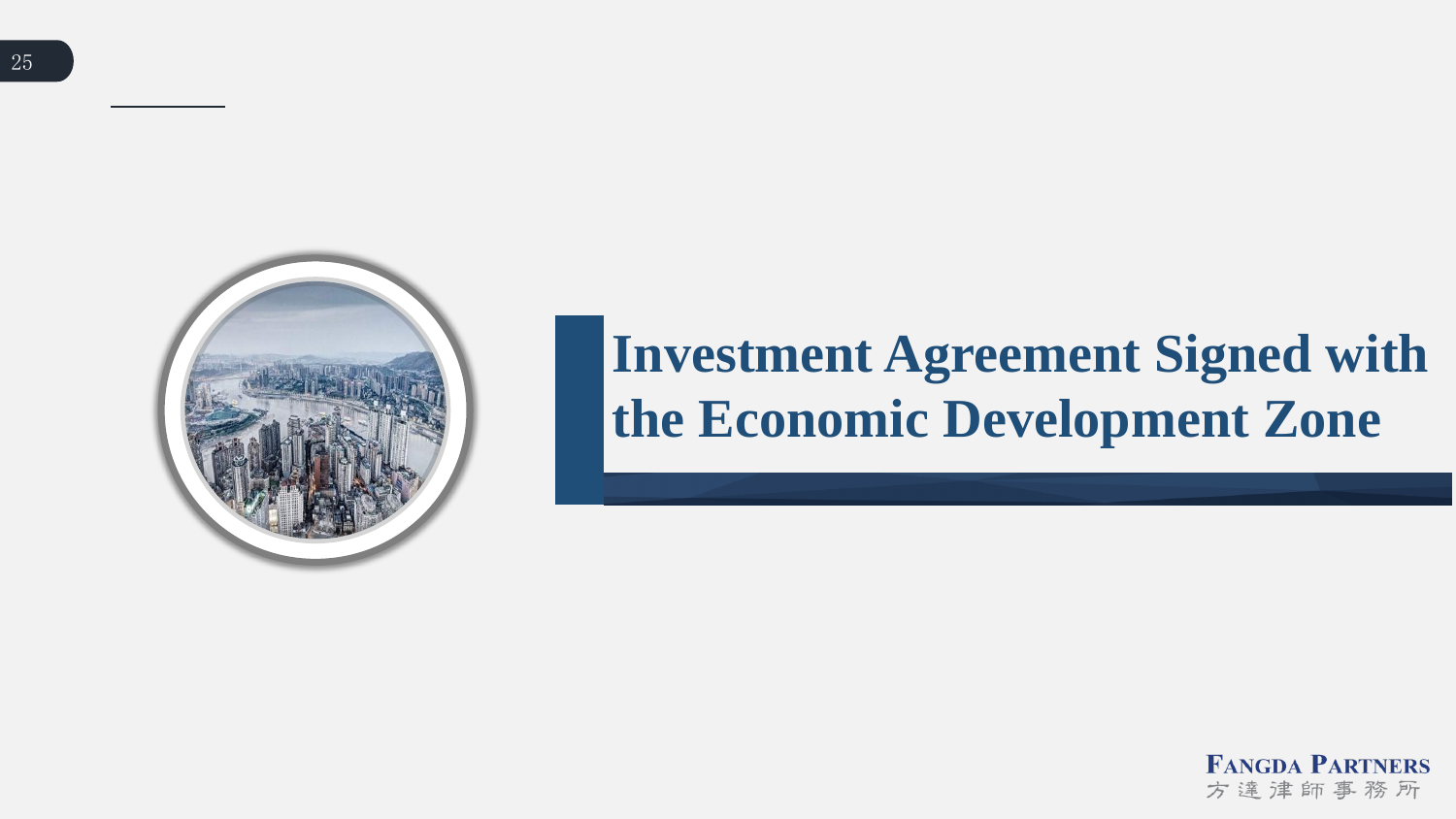

# **Investment Agreement Signed with the Economic Development Zone**

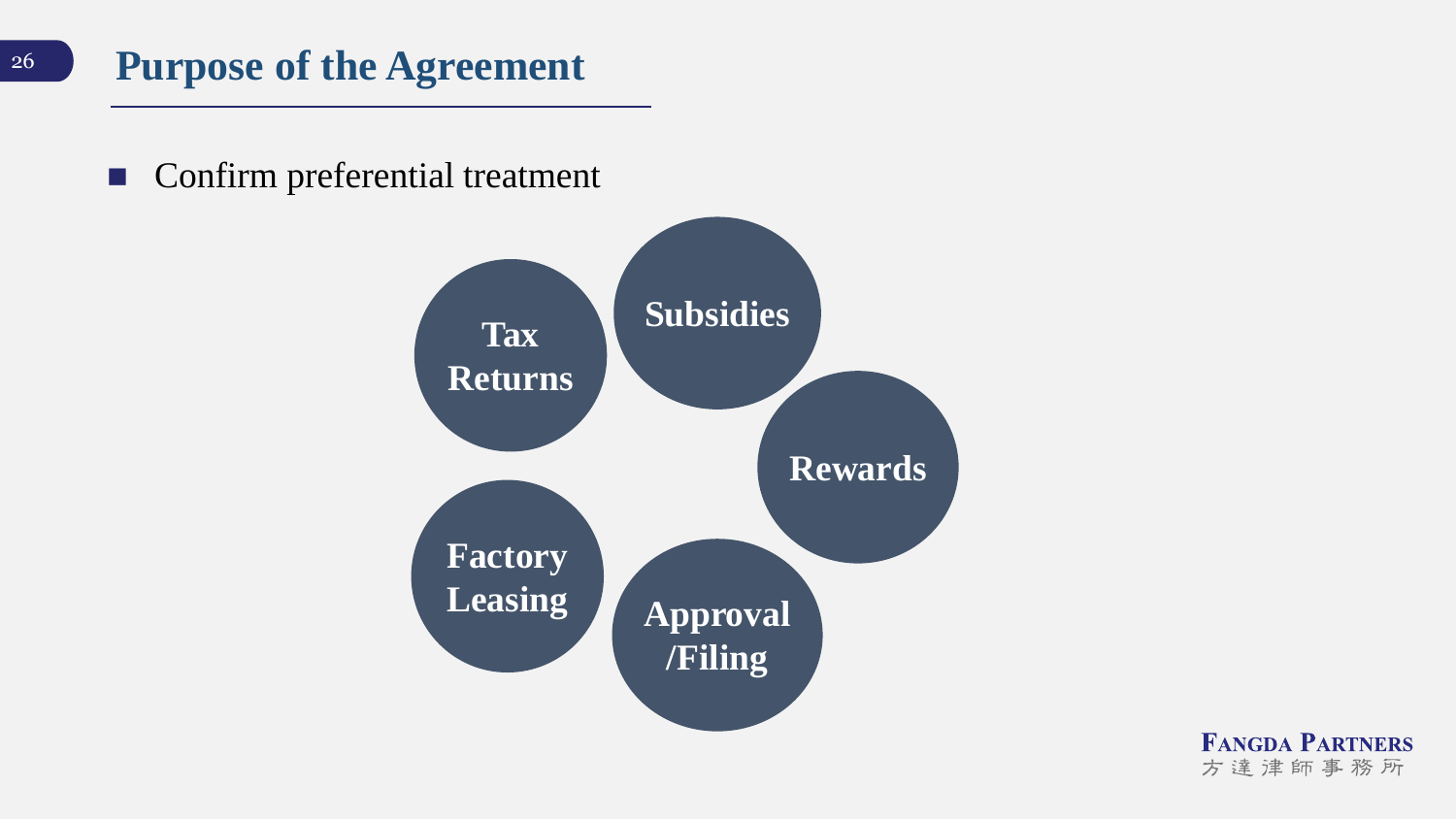Confirm preferential treatment

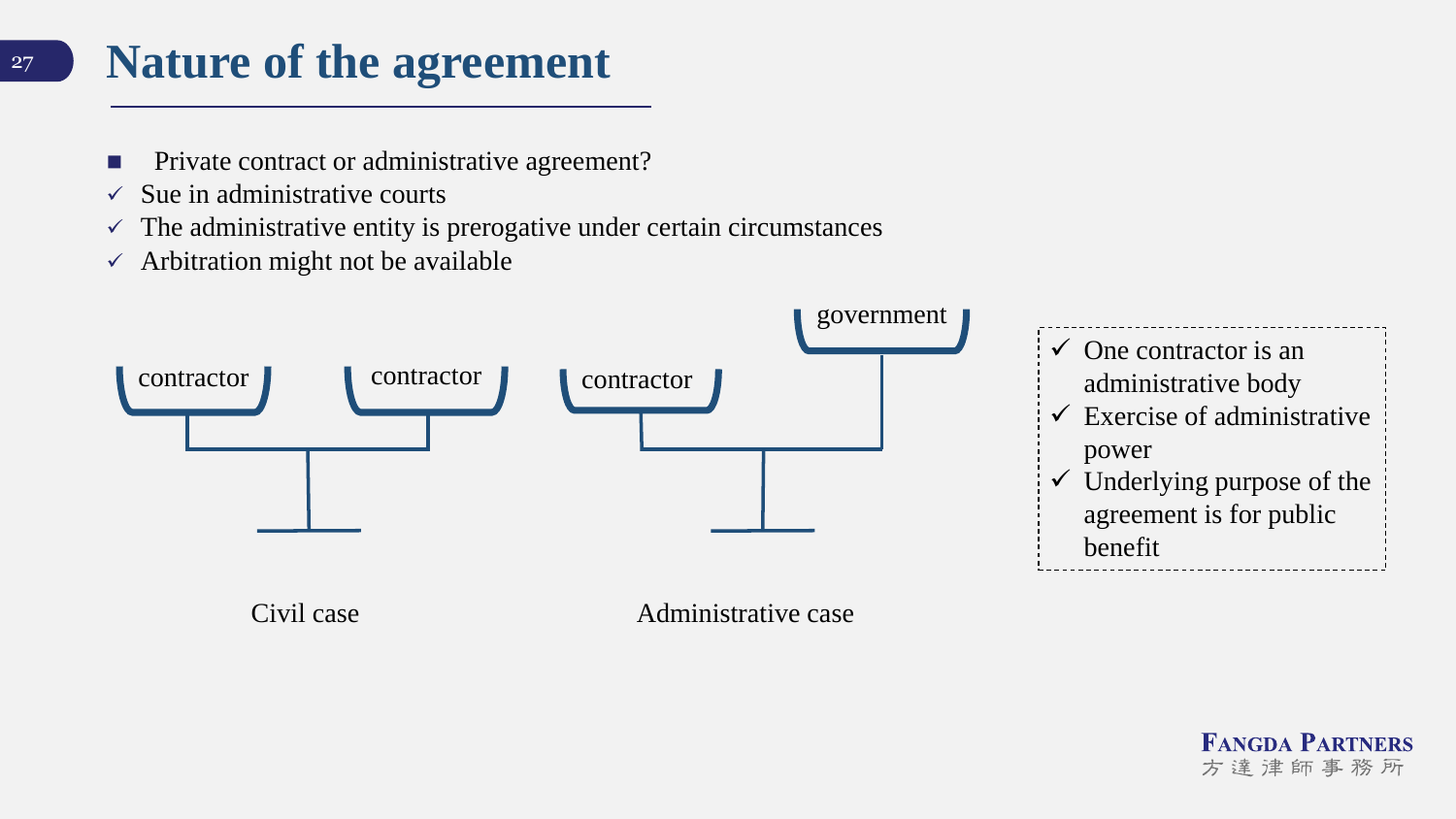### **Nature of the agreement**

- Private contract or administrative agreement?
- $\checkmark$  Sue in administrative courts

27

- $\checkmark$  The administrative entity is prerogative under certain circumstances
- $\checkmark$  Arbitration might not be available



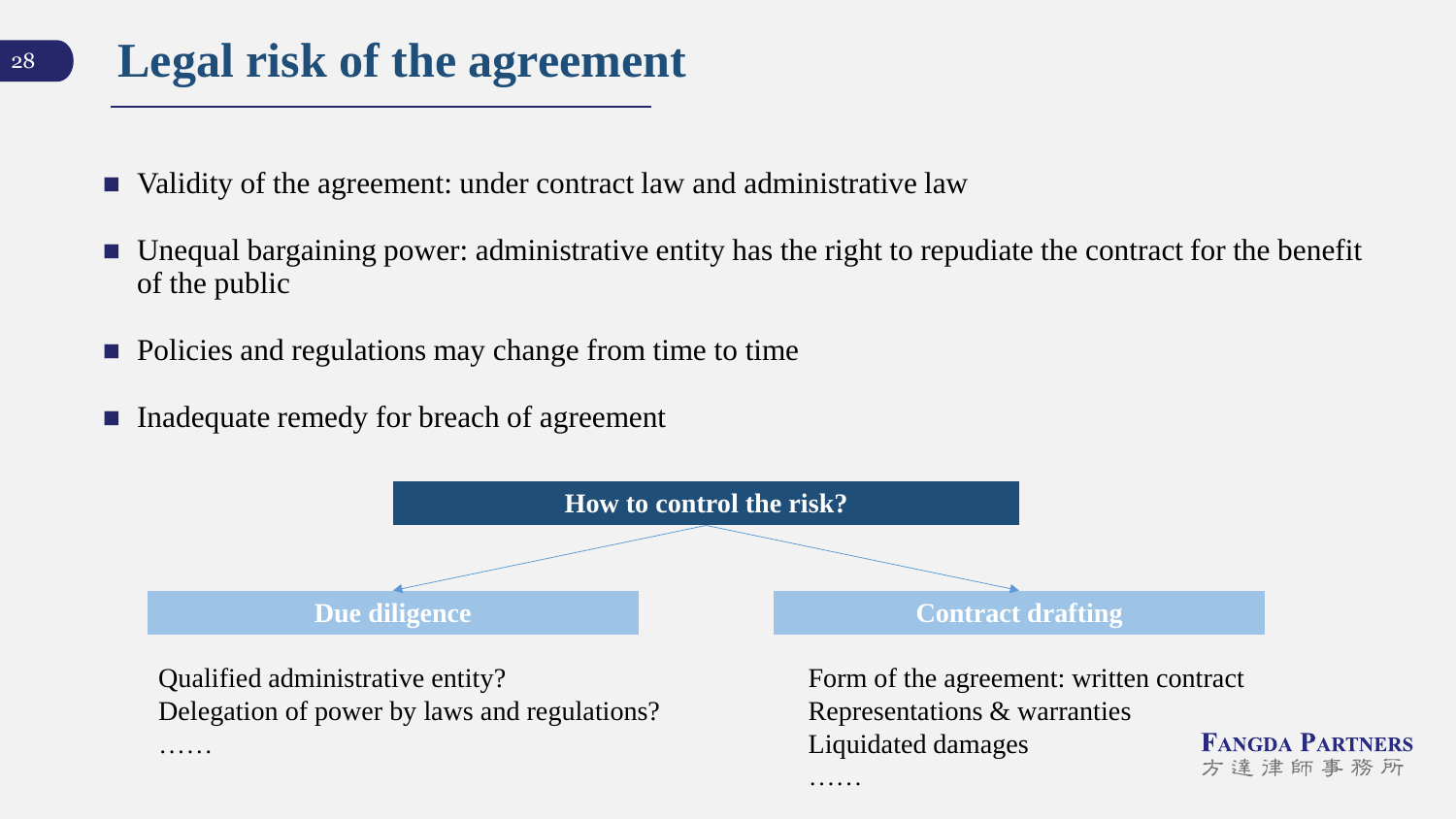### **Legal risk of the agreement**

- Validity of the agreement: under contract law and administrative law
- Unequal bargaining power: administrative entity has the right to repudiate the contract for the benefit of the public
- Policies and regulations may change from time to time
- Inadequate remedy for breach of agreement



……

Delegation of power by laws and regulations?

……

Representations & warranties Liquidated damages **FANGDA PARTNERS** 方達津師事務所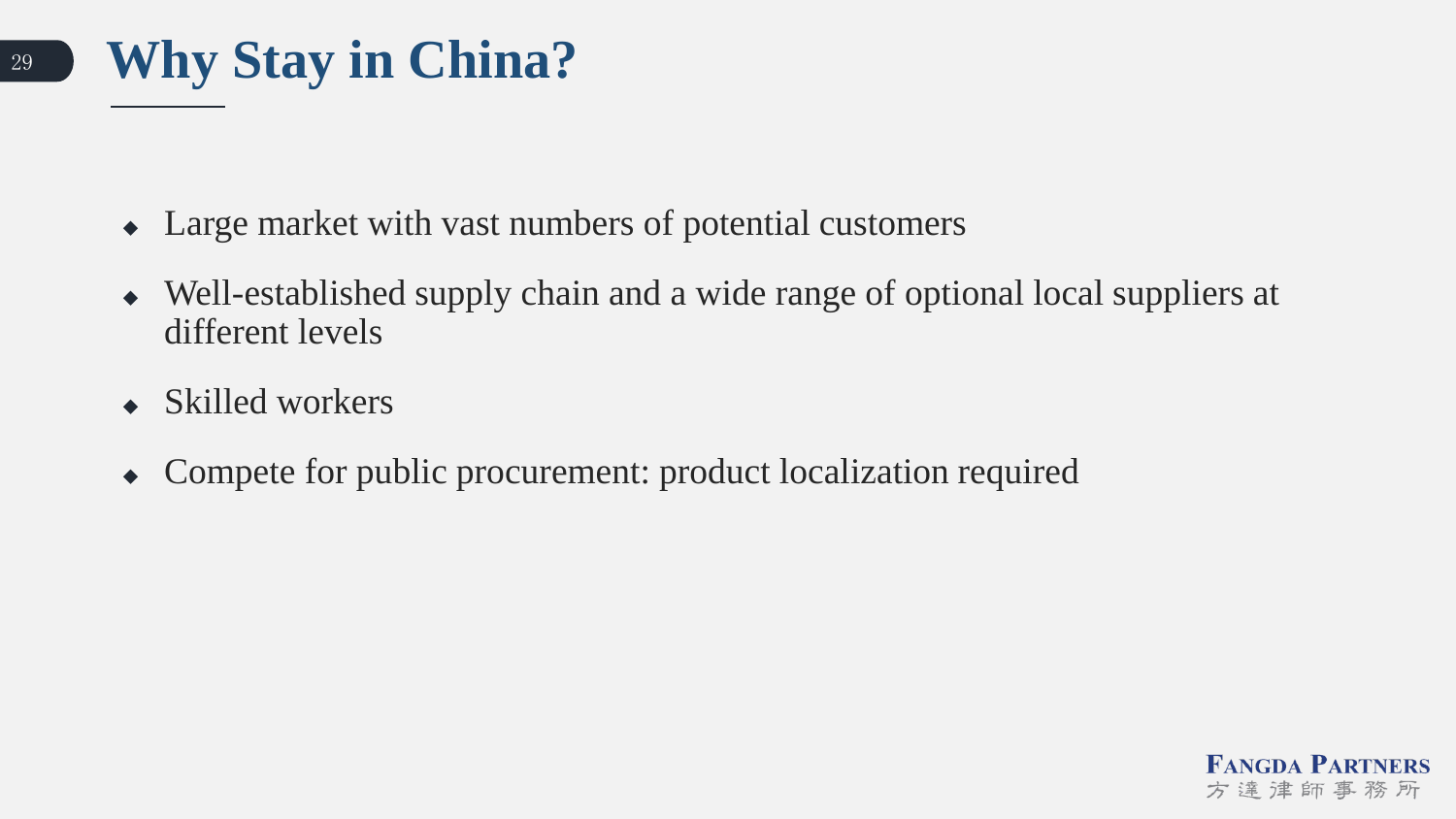

- Large market with vast numbers of potential customers
- Well-established supply chain and a wide range of optional local suppliers at different levels
- Skilled workers
- Compete for public procurement: product localization required